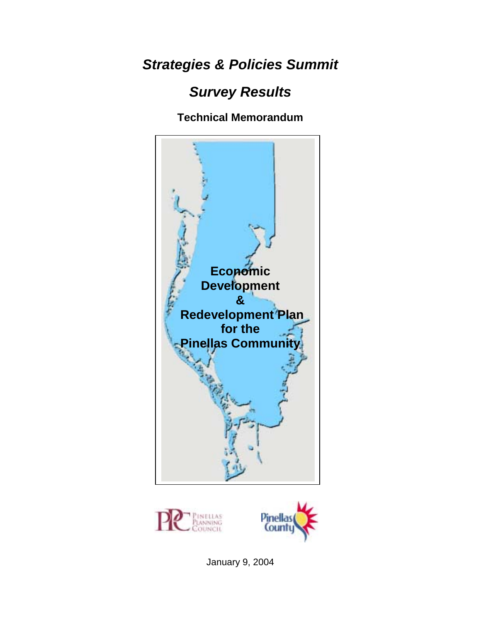*Strategies & Policies Summit* 

# *Survey Results*

## **Technical Memorandum**







January 9, 2004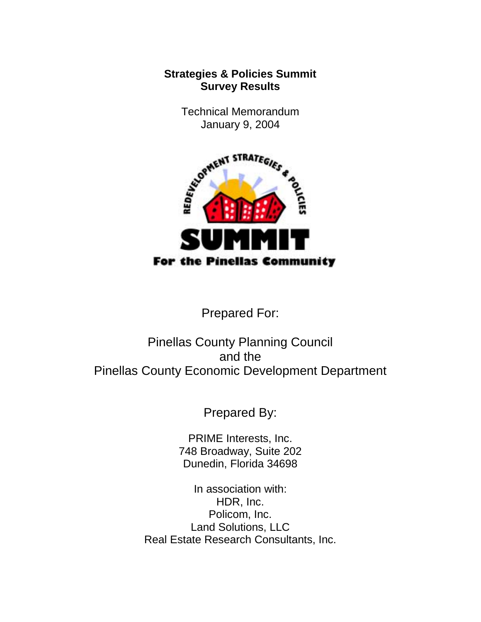## **Strategies & Policies Summit Survey Results**

Technical Memorandum



Prepared For:

## Pinellas County Planning Council and the Pinellas County Economic Development Department

Prepared By:

PRIME Interests, Inc. 748 Broadway, Suite 202 Dunedin, Florida 34698

In association with: HDR, Inc. Policom, Inc. Land Solutions, LLC Real Estate Research Consultants, Inc.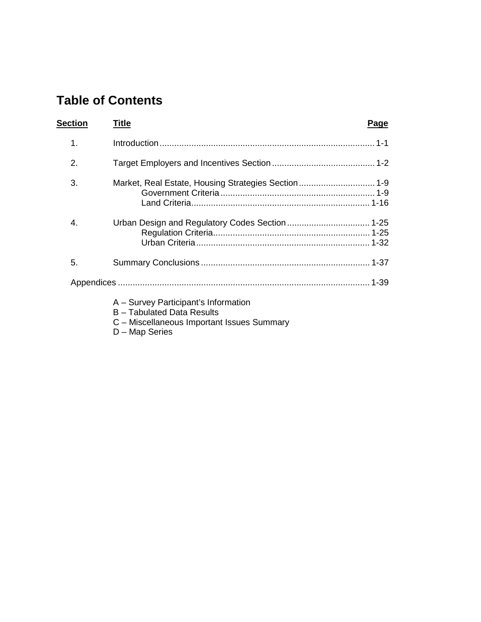## **Table of Contents**

| <b>Section</b> | <b>Title</b>                                                              | Page |
|----------------|---------------------------------------------------------------------------|------|
| 1 <sub>1</sub> |                                                                           |      |
| 2.             |                                                                           |      |
| 3.             | Market, Real Estate, Housing Strategies Section 1-9                       |      |
| 4.             |                                                                           |      |
| 5.             |                                                                           |      |
|                |                                                                           |      |
|                | A – Survey Participant's Information<br><b>B</b> - Tabulated Data Results |      |

- C Miscellaneous Important Issues Summary
- D Map Series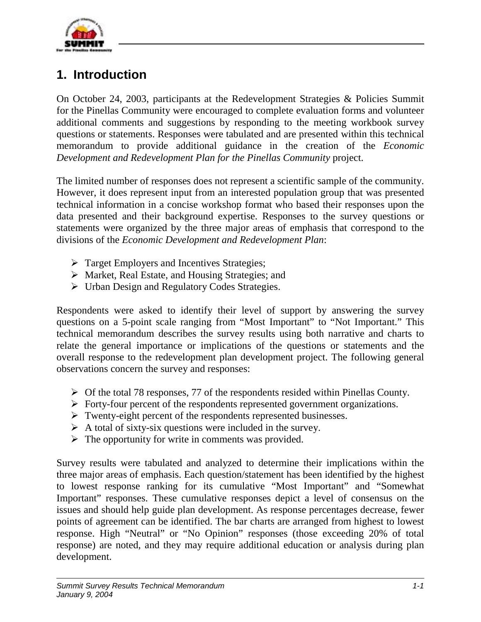

## **1. Introduction**

On October 24, 2003, participants at the Redevelopment Strategies & Policies Summit for the Pinellas Community were encouraged to complete evaluation forms and volunteer additional comments and suggestions by responding to the meeting workbook survey questions or statements. Responses were tabulated and are presented within this technical memorandum to provide additional guidance in the creation of the *Economic Development and Redevelopment Plan for the Pinellas Community* project.

The limited number of responses does not represent a scientific sample of the community. However, it does represent input from an interested population group that was presented technical information in a concise workshop format who based their responses upon the data presented and their background expertise. Responses to the survey questions or statements were organized by the three major areas of emphasis that correspond to the divisions of the *Economic Development and Redevelopment Plan*:

- $\triangleright$  Target Employers and Incentives Strategies;
- $\triangleright$  Market, Real Estate, and Housing Strategies; and
- ! Urban Design and Regulatory Codes Strategies.

Respondents were asked to identify their level of support by answering the survey questions on a 5-point scale ranging from "Most Important" to "Not Important." This technical memorandum describes the survey results using both narrative and charts to relate the general importance or implications of the questions or statements and the overall response to the redevelopment plan development project. The following general observations concern the survey and responses:

- $\triangleright$  Of the total 78 responses, 77 of the respondents resided within Pinellas County.
- $\triangleright$  Forty-four percent of the respondents represented government organizations.
- $\triangleright$  Twenty-eight percent of the respondents represented businesses.
- $\triangleright$  A total of sixty-six questions were included in the survey.
- $\triangleright$  The opportunity for write in comments was provided.

Survey results were tabulated and analyzed to determine their implications within the three major areas of emphasis. Each question/statement has been identified by the highest to lowest response ranking for its cumulative "Most Important" and "Somewhat Important" responses. These cumulative responses depict a level of consensus on the issues and should help guide plan development. As response percentages decrease, fewer points of agreement can be identified. The bar charts are arranged from highest to lowest response. High "Neutral" or "No Opinion" responses (those exceeding 20% of total response) are noted, and they may require additional education or analysis during plan development.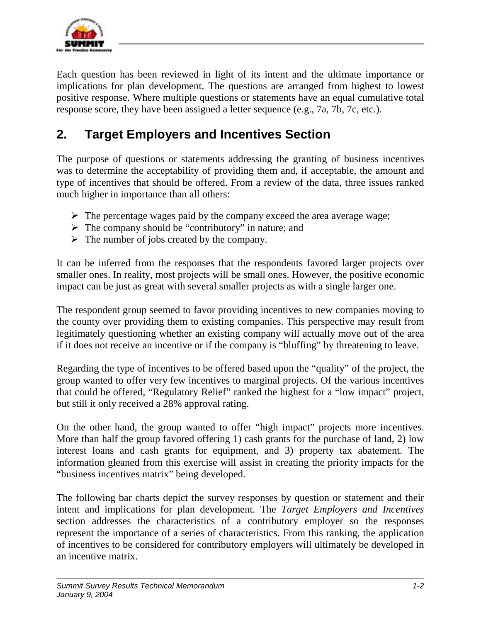

Each question has been reviewed in light of its intent and the ultimate importance or implications for plan development. The questions are arranged from highest to lowest positive response. Where multiple questions or statements have an equal cumulative total response score, they have been assigned a letter sequence (e.g., 7a, 7b, 7c, etc.).

## **2. Target Employers and Incentives Section**

The purpose of questions or statements addressing the granting of business incentives was to determine the acceptability of providing them and, if acceptable, the amount and type of incentives that should be offered. From a review of the data, three issues ranked much higher in importance than all others:

- $\triangleright$  The percentage wages paid by the company exceed the area average wage;
- $\triangleright$  The company should be "contributory" in nature; and
- $\triangleright$  The number of jobs created by the company.

It can be inferred from the responses that the respondents favored larger projects over smaller ones. In reality, most projects will be small ones. However, the positive economic impact can be just as great with several smaller projects as with a single larger one.

The respondent group seemed to favor providing incentives to new companies moving to the county over providing them to existing companies. This perspective may result from legitimately questioning whether an existing company will actually move out of the area if it does not receive an incentive or if the company is "bluffing" by threatening to leave.

Regarding the type of incentives to be offered based upon the "quality" of the project, the group wanted to offer very few incentives to marginal projects. Of the various incentives that could be offered, "Regulatory Relief" ranked the highest for a "low impact" project, but still it only received a 28% approval rating.

On the other hand, the group wanted to offer "high impact" projects more incentives. More than half the group favored offering 1) cash grants for the purchase of land, 2) low interest loans and cash grants for equipment, and 3) property tax abatement. The information gleaned from this exercise will assist in creating the priority impacts for the "business incentives matrix" being developed.

The following bar charts depict the survey responses by question or statement and their intent and implications for plan development. The *Target Employers and Incentives* section addresses the characteristics of a contributory employer so the responses represent the importance of a series of characteristics. From this ranking, the application of incentives to be considered for contributory employers will ultimately be developed in an incentive matrix.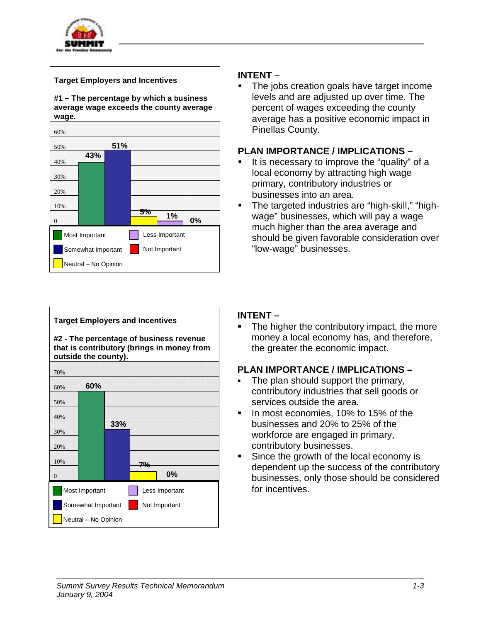

### **Target Employers and Incentives**

#### **#1 – The percentage by which a business average wage exceeds the county average wage.**

| 60%            |                      |     |    |                |    |
|----------------|----------------------|-----|----|----------------|----|
| 50%            |                      | 51% |    |                |    |
| 40%            | 43%                  |     |    |                |    |
| 30%            |                      |     |    |                |    |
| 20%            |                      |     |    |                |    |
| 10%            |                      |     |    |                |    |
| $\overline{0}$ |                      |     | 5% | 1%             | 0% |
|                | Most Important       |     |    | Less Important |    |
|                | Somewhat Important   |     |    | Not Important  |    |
|                | Neutral - No Opinion |     |    |                |    |

## **Target Employers and Incentives**

**#2 - The percentage of business revenue that is contributory (brings in money from outside the county).**



## **INTENT –**

The jobs creation goals have target income levels and are adjusted up over time. The percent of wages exceeding the county average has a positive economic impact in Pinellas County.

### **PLAN IMPORTANCE / IMPLICATIONS –**

- It is necessary to improve the "quality" of a local economy by attracting high wage primary, contributory industries or businesses into an area.
- **The targeted industries are "high-skill," "high**wage" businesses, which will pay a wage much higher than the area average and should be given favorable consideration over "low-wage" businesses.

### **INTENT –**

**EXECT** The higher the contributory impact, the more money a local economy has, and therefore, the greater the economic impact.

- The plan should support the primary, contributory industries that sell goods or services outside the area.
- In most economies, 10% to 15% of the businesses and 20% to 25% of the workforce are engaged in primary, contributory businesses.
- Since the growth of the local economy is dependent up the success of the contributory businesses, only those should be considered for incentives.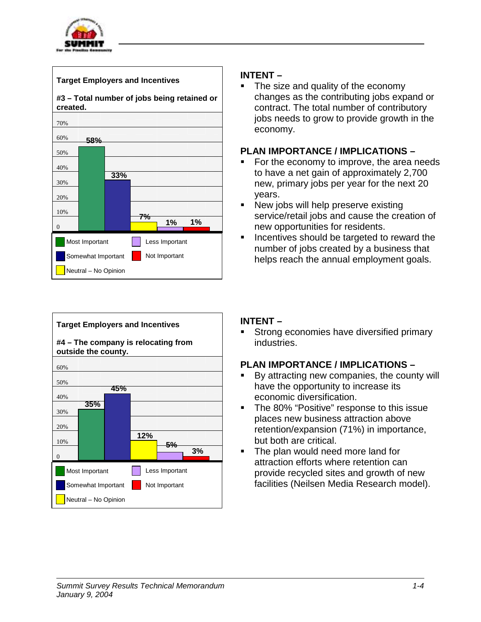





The size and quality of the economy changes as the contributing jobs expand or contract. The total number of contributory jobs needs to grow to provide growth in the economy.

## **PLAN IMPORTANCE / IMPLICATIONS –**

- For the economy to improve, the area needs to have a net gain of approximately 2,700 new, primary jobs per year for the next 20 years.
- **EXECT:** New jobs will help preserve existing service/retail jobs and cause the creation of new opportunities for residents.
- **EXECUTE:** Incentives should be targeted to reward the number of jobs created by a business that helps reach the annual employment goals.

## **INTENT –**

Strong economies have diversified primary industries.

- By attracting new companies, the county will have the opportunity to increase its economic diversification.
- **The 80% "Positive" response to this issue** places new business attraction above retention/expansion (71%) in importance, but both are critical.
- The plan would need more land for attraction efforts where retention can provide recycled sites and growth of new facilities (Neilsen Media Research model).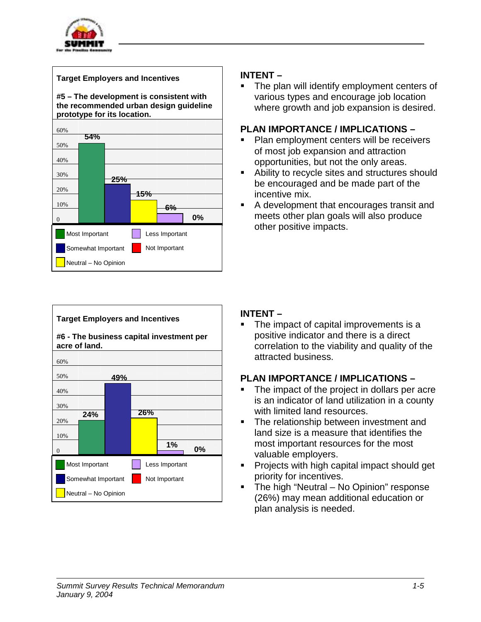

Most Important

Somewhat Important Neutral – No Opinion



Less Important Not Important



## **INTENT –**

The plan will identify employment centers of various types and encourage job location where growth and job expansion is desired.

## **PLAN IMPORTANCE / IMPLICATIONS –**

- Plan employment centers will be receivers of most job expansion and attraction opportunities, but not the only areas.
- **EXECUTE:** Ability to recycle sites and structures should be encouraged and be made part of the incentive mix.
- **A** development that encourages transit and meets other plan goals will also produce other positive impacts.

## **INTENT –**

The impact of capital improvements is a positive indicator and there is a direct correlation to the viability and quality of the attracted business.

- **The impact of the project in dollars per acre** is an indicator of land utilization in a county with limited land resources.
- **The relationship between investment and** land size is a measure that identifies the most important resources for the most valuable employers.
- **Projects with high capital impact should get** priority for incentives.
- **The high "Neutral No Opinion" response** (26%) may mean additional education or plan analysis is needed.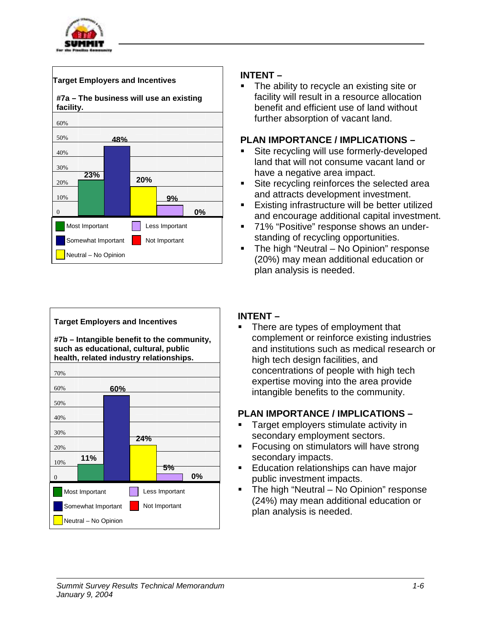





The ability to recycle an existing site or facility will result in a resource allocation benefit and efficient use of land without further absorption of vacant land.

## **PLAN IMPORTANCE / IMPLICATIONS –**

- Site recycling will use formerly-developed land that will not consume vacant land or have a negative area impact.
- **EXECTE:** Site recycling reinforces the selected area and attracts development investment.
- **Existing infrastructure will be better utilized** and encourage additional capital investment.
- **71% "Positive" response shows an under**standing of recycling opportunities.
- **The high "Neutral No Opinion" response** (20%) may mean additional education or plan analysis is needed.

## **INTENT –**

**F** There are types of employment that complement or reinforce existing industries and institutions such as medical research or high tech design facilities, and concentrations of people with high tech expertise moving into the area provide intangible benefits to the community.

- Target employers stimulate activity in secondary employment sectors.
- Focusing on stimulators will have strong secondary impacts.
- **Education relationships can have major** public investment impacts.
- **EXECT** The high "Neutral No Opinion" response (24%) may mean additional education or plan analysis is needed.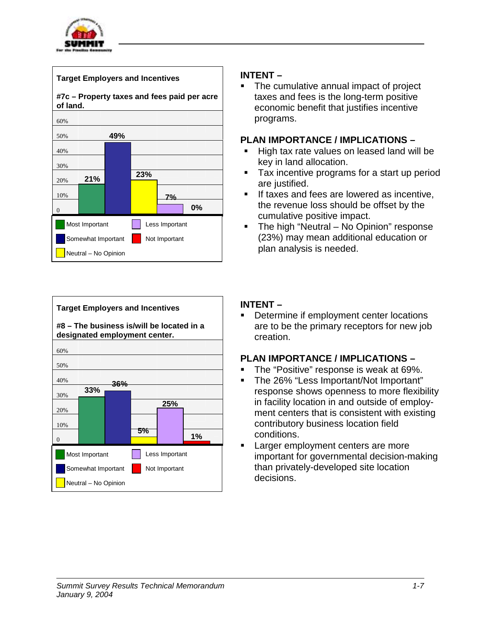





The cumulative annual impact of project taxes and fees is the long-term positive economic benefit that justifies incentive programs.

## **PLAN IMPORTANCE / IMPLICATIONS –**

- High tax rate values on leased land will be key in land allocation.
- Tax incentive programs for a start up period are justified.
- **If taxes and fees are lowered as incentive,** the revenue loss should be offset by the cumulative positive impact.
- **The high "Neutral No Opinion" response** (23%) may mean additional education or plan analysis is needed.

## **INTENT –**

Determine if employment center locations are to be the primary receptors for new job creation.

- **The "Positive" response is weak at 69%.**
- **The 26% "Less Important/Not Important"** response shows openness to more flexibility in facility location in and outside of employment centers that is consistent with existing contributory business location field conditions.
- **EXEC** Larger employment centers are more important for governmental decision-making than privately-developed site location decisions.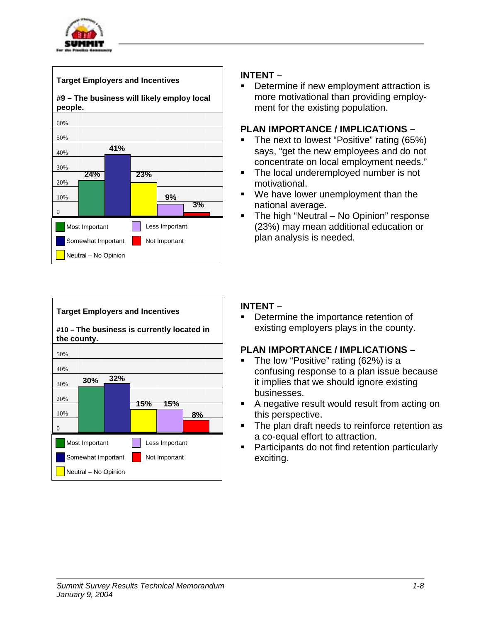





Determine if new employment attraction is more motivational than providing employment for the existing population.

## **PLAN IMPORTANCE / IMPLICATIONS –**

- **The next to lowest "Positive" rating (65%)** says, "get the new employees and do not concentrate on local employment needs."
- **F** The local underemployed number is not motivational.
- # We have lower unemployment than the national average.
- The high "Neutral No Opinion" response (23%) may mean additional education or plan analysis is needed.

## **INTENT –**

Determine the importance retention of existing employers plays in the county.

- **The low "Positive" rating (62%) is a** confusing response to a plan issue because it implies that we should ignore existing businesses.
- **A** negative result would result from acting on this perspective.
- **The plan draft needs to reinforce retention as** a co-equal effort to attraction.
- **EXECUTE:** Participants do not find retention particularly exciting.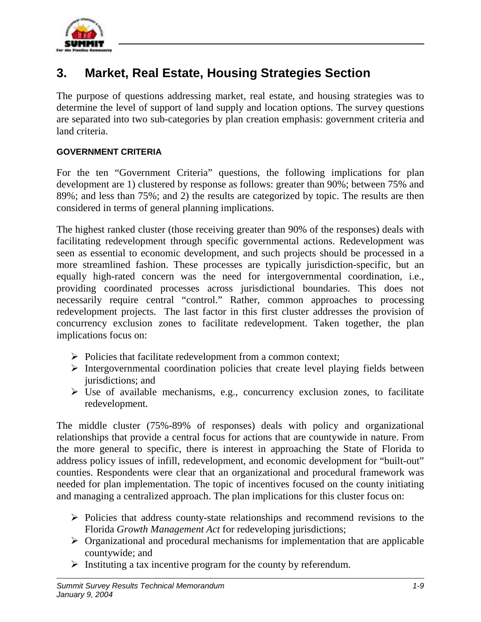

## **3. Market, Real Estate, Housing Strategies Section**

The purpose of questions addressing market, real estate, and housing strategies was to determine the level of support of land supply and location options. The survey questions are separated into two sub-categories by plan creation emphasis: government criteria and land criteria.

## **GOVERNMENT CRITERIA**

For the ten "Government Criteria" questions, the following implications for plan development are 1) clustered by response as follows: greater than 90%; between 75% and 89%; and less than 75%; and 2) the results are categorized by topic. The results are then considered in terms of general planning implications.

The highest ranked cluster (those receiving greater than 90% of the responses) deals with facilitating redevelopment through specific governmental actions. Redevelopment was seen as essential to economic development, and such projects should be processed in a more streamlined fashion. These processes are typically jurisdiction-specific, but an equally high-rated concern was the need for intergovernmental coordination, i.e., providing coordinated processes across jurisdictional boundaries. This does not necessarily require central "control." Rather, common approaches to processing redevelopment projects. The last factor in this first cluster addresses the provision of concurrency exclusion zones to facilitate redevelopment. Taken together, the plan implications focus on:

- $\triangleright$  Policies that facilitate redevelopment from a common context;
- $\triangleright$  Intergovernmental coordination policies that create level playing fields between jurisdictions; and
- $\triangleright$  Use of available mechanisms, e.g., concurrency exclusion zones, to facilitate redevelopment.

The middle cluster (75%-89% of responses) deals with policy and organizational relationships that provide a central focus for actions that are countywide in nature. From the more general to specific, there is interest in approaching the State of Florida to address policy issues of infill, redevelopment, and economic development for "built-out" counties. Respondents were clear that an organizational and procedural framework was needed for plan implementation. The topic of incentives focused on the county initiating and managing a centralized approach. The plan implications for this cluster focus on:

- $\triangleright$  Policies that address county-state relationships and recommend revisions to the Florida *Growth Management Act* for redeveloping jurisdictions;
- $\triangleright$  Organizational and procedural mechanisms for implementation that are applicable countywide; and
- $\triangleright$  Instituting a tax incentive program for the county by referendum.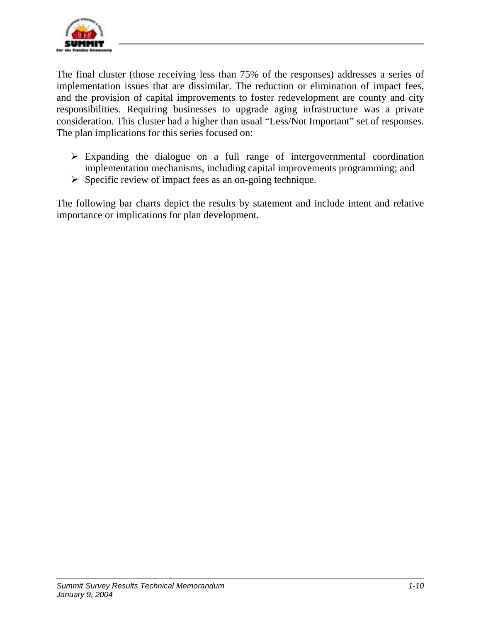

The final cluster (those receiving less than 75% of the responses) addresses a series of implementation issues that are dissimilar. The reduction or elimination of impact fees, and the provision of capital improvements to foster redevelopment are county and city responsibilities. Requiring businesses to upgrade aging infrastructure was a private consideration. This cluster had a higher than usual "Less/Not Important" set of responses. The plan implications for this series focused on:

- $\triangleright$  Expanding the dialogue on a full range of intergovernmental coordination implementation mechanisms, including capital improvements programming; and
- $\triangleright$  Specific review of impact fees as an on-going technique.

The following bar charts depict the results by statement and include intent and relative importance or implications for plan development.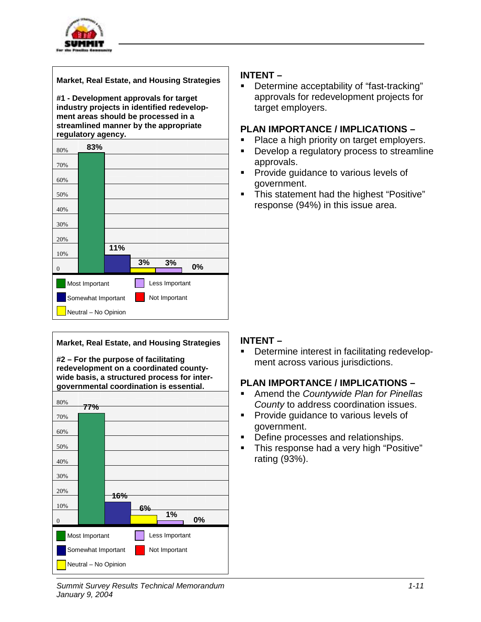

**#1 - Development approvals for target industry projects in identified redevelopment areas should be processed in a streamlined manner by the appropriate regulatory agency.** 

| 80%                | 83%                  |     |               |                |    |
|--------------------|----------------------|-----|---------------|----------------|----|
| 70%                |                      |     |               |                |    |
| 60%                |                      |     |               |                |    |
| 50%                |                      |     |               |                |    |
| 40%                |                      |     |               |                |    |
| 30%                |                      |     |               |                |    |
| 20%                |                      |     |               |                |    |
| 10%                |                      | 11% |               |                |    |
| $\overline{0}$     |                      |     | 3%            | 3%             | 0% |
|                    | Most Important       |     |               | Less Important |    |
| Somewhat Important |                      |     | Not Important |                |    |
|                    | Neutral - No Opinion |     |               |                |    |

### **Market, Real Estate, and Housing Strategies**

**#2 – For the purpose of facilitating redevelopment on a coordinated countywide basis, a structured process for intergovernmental coordination is essential.**



### approvals for redevelopment projects for target employers.

**INTENT –**

### **PLAN IMPORTANCE / IMPLICATIONS –**

**EXEC** Determine acceptability of "fast-tracking"

- **Place a high priority on target employers.**
- **•** Develop a regulatory process to streamline approvals.
- **Provide guidance to various levels of** government.
- **EXEDENT** This statement had the highest "Positive" response (94%) in this issue area.

### **INTENT –**

**EXECTE:** Determine interest in facilitating redevelopment across various jurisdictions.

- # Amend the *Countywide Plan for Pinellas County* to address coordination issues.
- **Provide guidance to various levels of** government.
- **Define processes and relationships.**
- **This response had a very high "Positive"** rating (93%).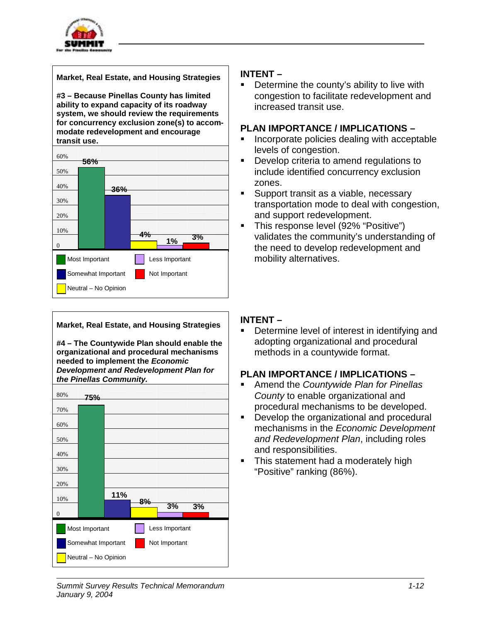

**#3 – Because Pinellas County has limited ability to expand capacity of its roadway system, we should review the requirements for concurrency exclusion zone(s) to accommodate redevelopment and encourage transit use.** 

| 60%            |                      |     |    |                |    |  |
|----------------|----------------------|-----|----|----------------|----|--|
|                | 56%                  |     |    |                |    |  |
| 50%            |                      |     |    |                |    |  |
| 40%            |                      | 36% |    |                |    |  |
| 30%            |                      |     |    |                |    |  |
| 20%            |                      |     |    |                |    |  |
| 10%            |                      |     | 4% |                |    |  |
| $\overline{0}$ |                      |     |    | 1%             | 3% |  |
|                | Most Important       |     |    | Less Important |    |  |
|                | Somewhat Important   |     |    | Not Important  |    |  |
|                | Neutral - No Opinion |     |    |                |    |  |

### **Market, Real Estate, and Housing Strategies**

**#4 – The Countywide Plan should enable the organizational and procedural mechanisms needed to implement the** *Economic Development and Redevelopment Plan for the Pinellas Community.*



Determine the county's ability to live with congestion to facilitate redevelopment and increased transit use.

### **PLAN IMPORTANCE / IMPLICATIONS –**

- Incorporate policies dealing with acceptable levels of congestion.
- **EXEC** Develop criteria to amend regulations to include identified concurrency exclusion zones.
- **EXECT** Support transit as a viable, necessary transportation mode to deal with congestion, and support redevelopment.
- **This response level (92% "Positive")** validates the community's understanding of the need to develop redevelopment and mobility alternatives.

## **INTENT –**

Determine level of interest in identifying and adopting organizational and procedural methods in a countywide format.

- # Amend the *Countywide Plan for Pinellas County* to enable organizational and procedural mechanisms to be developed.
- **Develop the organizational and procedural** mechanisms in the *Economic Development and Redevelopment Plan*, including roles and responsibilities.
- **This statement had a moderately high** "Positive" ranking (86%).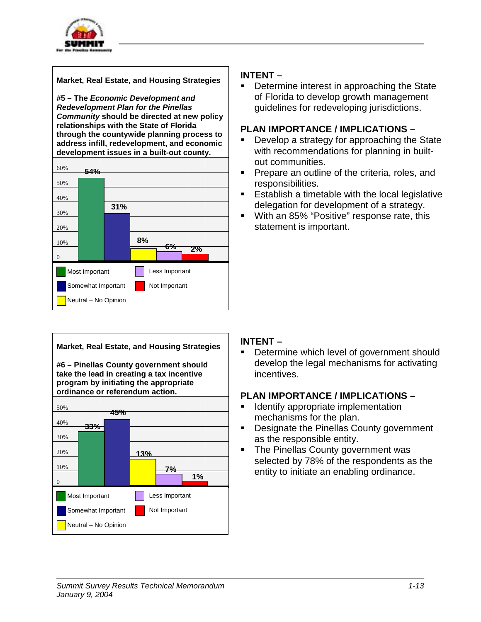

**#5 – The** *Economic Development and Redevelopment Plan for the Pinellas Community* **should be directed at new policy relationships with the State of Florida through the countywide planning process to address infill, redevelopment, and economic development issues in a built-out county.**





## **INTENT –**

**• Determine interest in approaching the State** of Florida to develop growth management guidelines for redeveloping jurisdictions.

## **PLAN IMPORTANCE / IMPLICATIONS –**

- Develop a strategy for approaching the State with recommendations for planning in builtout communities.
- **Prepare an outline of the criteria, roles, and** responsibilities.
- **E** Establish a timetable with the local legislative delegation for development of a strategy.
- **With an 85% "Positive" response rate, this** statement is important.

## **INTENT –**

**EXECTE:** Determine which level of government should develop the legal mechanisms for activating incentives.

- **EXEDENTIFY Appropriate implementation** mechanisms for the plan.
- **EXE** Designate the Pinellas County government as the responsible entity.
- **EXECO THE PINELLAS COUNTY GOVERNMENT WAS** selected by 78% of the respondents as the entity to initiate an enabling ordinance.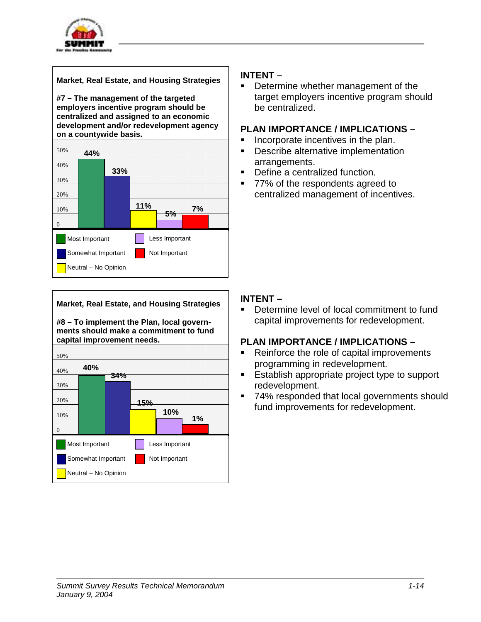

**#7 – The management of the targeted employers incentive program should be centralized and assigned to an economic development and/or redevelopment agency on a countywide basis.**



### **Market, Real Estate, and Housing Strategies**

**#8 – To implement the Plan, local governments should make a commitment to fund capital improvement needs.**



### **INTENT –**

**EXEC** Determine whether management of the target employers incentive program should be centralized.

### **PLAN IMPORTANCE / IMPLICATIONS –**

- **EXECT** Incorporate incentives in the plan.
- **EXEC** Describe alternative implementation arrangements.
- **•** Define a centralized function.
- 77% of the respondents agreed to centralized management of incentives.

## **INTENT –**

**EXECTE:** Determine level of local commitment to fund capital improvements for redevelopment.

- Reinforce the role of capital improvements programming in redevelopment.
- **Establish appropriate project type to support** redevelopment.
- 74% responded that local governments should fund improvements for redevelopment.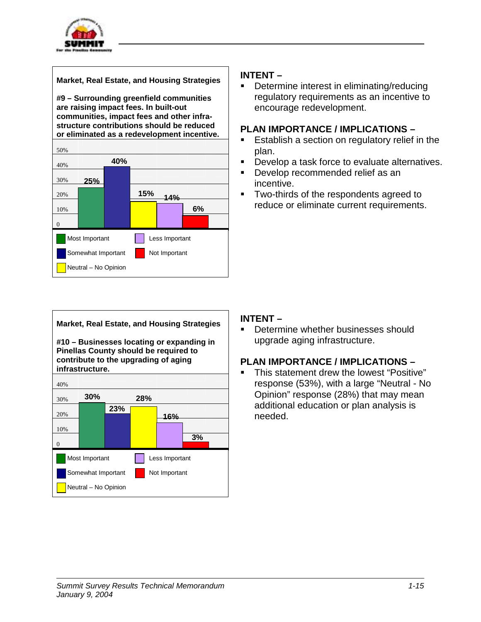

**#9 – Surrounding greenfield communities are raising impact fees. In built-out communities, impact fees and other infrastructure contributions should be reduced or eliminated as a redevelopment incentive.**



#### **Market, Real Estate, and Housing Strategies #10 – Businesses locating or expanding in Pinellas County should be required to contribute to the upgrading of aging infrastructure.** 40% 30% 20% 10%  $\Omega$ **30% 23% 28% 16% 3%** Most Important Somewhat Important  $\sqrt{\phantom{a}}$ Neutral – No Opinion Less Important Not Important

## **INTENT –**

**•** Determine interest in eliminating/reducing regulatory requirements as an incentive to encourage redevelopment.

### **PLAN IMPORTANCE / IMPLICATIONS –**

- **E** Establish a section on regulatory relief in the plan.
- **Develop a task force to evaluate alternatives.**
- **•** Develop recommended relief as an incentive.
- **Two-thirds of the respondents agreed to** reduce or eliminate current requirements.

## **INTENT –**

**E** Determine whether businesses should upgrade aging infrastructure.

## **PLAN IMPORTANCE / IMPLICATIONS –**

**EXEC** This statement drew the lowest "Positive" response (53%), with a large "Neutral - No Opinion" response (28%) that may mean additional education or plan analysis is needed.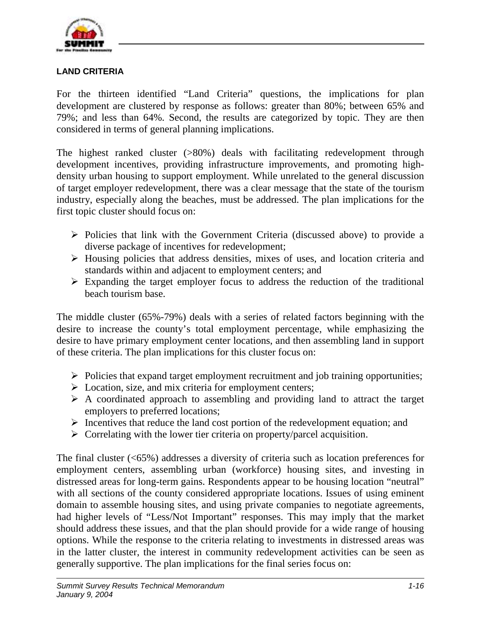

## **LAND CRITERIA**

For the thirteen identified "Land Criteria" questions, the implications for plan development are clustered by response as follows: greater than 80%; between 65% and 79%; and less than 64%. Second, the results are categorized by topic. They are then considered in terms of general planning implications.

The highest ranked cluster (>80%) deals with facilitating redevelopment through development incentives, providing infrastructure improvements, and promoting highdensity urban housing to support employment. While unrelated to the general discussion of target employer redevelopment, there was a clear message that the state of the tourism industry, especially along the beaches, must be addressed. The plan implications for the first topic cluster should focus on:

- $\triangleright$  Policies that link with the Government Criteria (discussed above) to provide a diverse package of incentives for redevelopment;
- $\triangleright$  Housing policies that address densities, mixes of uses, and location criteria and standards within and adjacent to employment centers; and
- $\triangleright$  Expanding the target employer focus to address the reduction of the traditional beach tourism base.

The middle cluster (65%-79%) deals with a series of related factors beginning with the desire to increase the county's total employment percentage, while emphasizing the desire to have primary employment center locations, and then assembling land in support of these criteria. The plan implications for this cluster focus on:

- $\triangleright$  Policies that expand target employment recruitment and job training opportunities;
- $\triangleright$  Location, size, and mix criteria for employment centers;
- $\triangleright$  A coordinated approach to assembling and providing land to attract the target employers to preferred locations;
- $\triangleright$  Incentives that reduce the land cost portion of the redevelopment equation; and
- $\triangleright$  Correlating with the lower tier criteria on property/parcel acquisition.

The final cluster (<65%) addresses a diversity of criteria such as location preferences for employment centers, assembling urban (workforce) housing sites, and investing in distressed areas for long-term gains. Respondents appear to be housing location "neutral" with all sections of the county considered appropriate locations. Issues of using eminent domain to assemble housing sites, and using private companies to negotiate agreements, had higher levels of "Less/Not Important" responses. This may imply that the market should address these issues, and that the plan should provide for a wide range of housing options. While the response to the criteria relating to investments in distressed areas was in the latter cluster, the interest in community redevelopment activities can be seen as generally supportive. The plan implications for the final series focus on: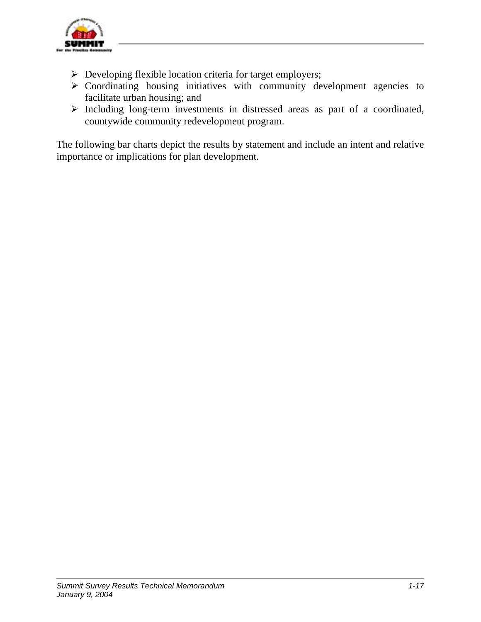

- $\triangleright$  Developing flexible location criteria for target employers;
- $\triangleright$  Coordinating housing initiatives with community development agencies to facilitate urban housing; and
- $\triangleright$  Including long-term investments in distressed areas as part of a coordinated, countywide community redevelopment program.

The following bar charts depict the results by statement and include an intent and relative importance or implications for plan development.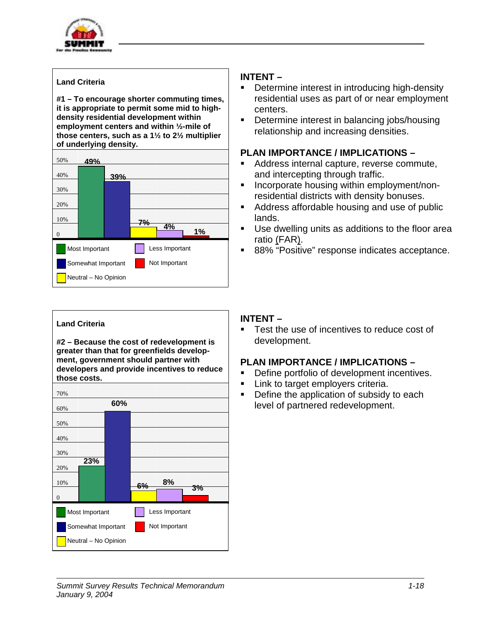

**#1 – To encourage shorter commuting times, it is appropriate to permit some mid to highdensity residential development within employment centers and within ½-mile of those centers, such as a 1½ to 2½ multiplier of underlying density.**

| 50%      | <u>49%</u>           |            |                |
|----------|----------------------|------------|----------------|
| 40%      |                      | <u>39%</u> |                |
| 30%      |                      |            |                |
| 20%      |                      |            |                |
| 10%      |                      |            | 7%             |
| $\theta$ |                      |            | 4%<br>1%       |
|          | Most Important       |            | Less Important |
|          | Somewhat Important   |            | Not Important  |
|          | Neutral - No Opinion |            |                |

### **Land Criteria**

**#2 – Because the cost of redevelopment is greater than that for greenfields development, government should partner with developers and provide incentives to reduce those costs.**



## **INTENT –**

- **EXECTE:** Determine interest in introducing high-density residential uses as part of or near employment centers.
- **Determine interest in balancing jobs/housing** relationship and increasing densities.

### **PLAN IMPORTANCE / IMPLICATIONS –**

- **Address internal capture, reverse commute,** and intercepting through traffic.
- **EXEDENT** Incorporate housing within employment/nonresidential districts with density bonuses.
- **Address affordable housing and use of public** lands.
- **Use dwelling units as additions to the floor area** ratio (FAR).
- 88% "Positive" response indicates acceptance.

## **INTENT –**

**EXECUTE:** Test the use of incentives to reduce cost of development.

- **EXECTE:** Define portfolio of development incentives.
- **EXEC** Link to target employers criteria.
- **•** Define the application of subsidy to each level of partnered redevelopment.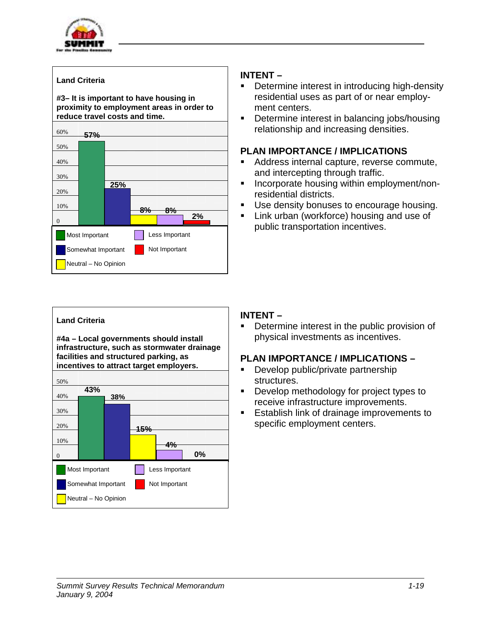

#### **#3– It is important to have housing in proximity to employment areas in order to reduce travel costs and time.**

| 60%                  | <del>57%</del> |     |    |                |    |
|----------------------|----------------|-----|----|----------------|----|
| 50%                  |                |     |    |                |    |
| 40%                  |                |     |    |                |    |
| 30%                  |                |     |    |                |    |
| 20%                  |                | 25% |    |                |    |
| 10%                  |                |     | 8% | 8%             |    |
| $\overline{0}$       |                |     |    |                | 2% |
|                      | Most Important |     |    | Less Important |    |
| Somewhat Important   |                |     |    | Not Important  |    |
| Neutral - No Opinion |                |     |    |                |    |

#### **Land Criteria**

**#4a – Local governments should install infrastructure, such as stormwater drainage facilities and structured parking, as incentives to attract target employers.**



## **INTENT –**

- **EXECTE:** Determine interest in introducing high-density residential uses as part of or near employment centers.
- **Determine interest in balancing jobs/housing** relationship and increasing densities.

### **PLAN IMPORTANCE / IMPLICATIONS**

- Address internal capture, reverse commute, and intercepting through traffic.
- **EXEDENT** Incorporate housing within employment/nonresidential districts.
- **Use density bonuses to encourage housing.**
- **EXECT** Link urban (workforce) housing and use of public transportation incentives.

### **INTENT –**

**•** Determine interest in the public provision of physical investments as incentives.

- Develop public/private partnership structures.
- **EXECT** Develop methodology for project types to receive infrastructure improvements.
- **E** Establish link of drainage improvements to specific employment centers.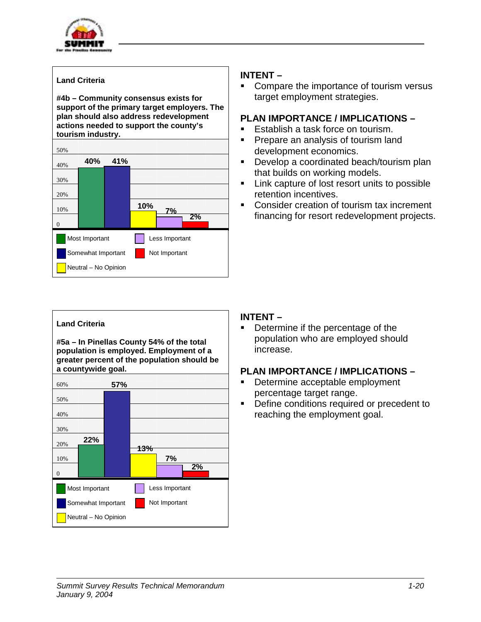

**#4b – Community consensus exists for support of the primary target employers. The plan should also address redevelopment actions needed to support the county's tourism industry.**

| 50%      |                      |     |                |
|----------|----------------------|-----|----------------|
| 40%      | 40%                  | 41% |                |
| 30%      |                      |     |                |
| 20%      |                      |     |                |
| 10%      |                      |     | 10%<br>7%      |
| $\theta$ |                      |     | 2%             |
|          | Most Important       |     | Less Important |
|          | Somewhat Important   |     | Not Important  |
|          | Neutral - No Opinion |     |                |

### **Land Criteria**

**#5a – In Pinellas County 54% of the total population is employed. Employment of a greater percent of the population should be a countywide goal.**



## **INTENT –**

• Compare the importance of tourism versus target employment strategies.

### **PLAN IMPORTANCE / IMPLICATIONS –**

- **Establish a task force on tourism.**
- **Prepare an analysis of tourism land** development economics.
- **Develop a coordinated beach/tourism plan** that builds on working models.
- **EXEC** Link capture of lost resort units to possible retention incentives.
- **EXECONS** Creation of tourism tax increment financing for resort redevelopment projects.

## **INTENT –**

**•** Determine if the percentage of the population who are employed should increase.

- **EXEC** Determine acceptable employment percentage target range.
- **•** Define conditions required or precedent to reaching the employment goal.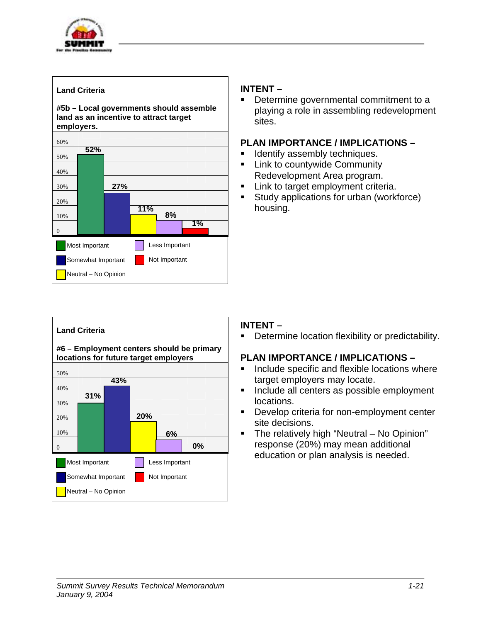

#### **#5b – Local governments should assemble land as an incentive to attract target employers.**

| 60%            |                      |     |                |
|----------------|----------------------|-----|----------------|
|                | 52%                  |     |                |
| 50%            |                      |     |                |
| 40%            |                      |     |                |
| 30%            |                      | 27% |                |
| 20%            |                      |     |                |
| 10%            |                      |     | 11%<br>8%      |
| $\overline{0}$ |                      |     | 1%             |
|                | Most Important       |     | Less Important |
|                | Somewhat Important   |     | Not Important  |
|                | Neutral - No Opinion |     |                |

#### **Land Criteria #6 – Employment centers should be primary locations for future target employers** 50% 40% 30% 20% 10% 0 **43% 31% 20% 6% 0%** Most Important Somewhat Important Neutral – No Opinion Less Important Not Important

## **INTENT –**

Determine governmental commitment to a playing a role in assembling redevelopment sites.

### **PLAN IMPORTANCE / IMPLICATIONS –**

- **Example 1** Identify assembly techniques.
- **E.** Link to countywide Community Redevelopment Area program.
- **EXEC** Link to target employment criteria.
- **EXECT** Study applications for urban (workforce) housing.

### **INTENT –**

**EXECTE:** Determine location flexibility or predictability.

- **EXEDENT** Include specific and flexible locations where target employers may locate.
- **EXECUTE:** Include all centers as possible employment locations.
- **EXECT** Develop criteria for non-employment center site decisions.
- **E** The relatively high "Neutral No Opinion" response (20%) may mean additional education or plan analysis is needed.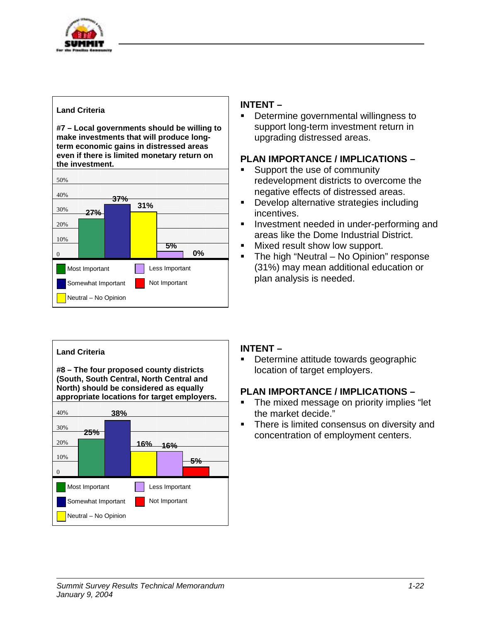

**#7 – Local governments should be willing to make investments that will produce longterm economic gains in distressed areas even if there is limited monetary return on the investment.**



## **INTENT –**

**EXEC** Determine governmental willingness to support long-term investment return in upgrading distressed areas.

## **PLAN IMPORTANCE / IMPLICATIONS –**

- **EXECUTE:** Support the use of community redevelopment districts to overcome the negative effects of distressed areas.
- **Develop alternative strategies including** incentives.
- **EXEDER** Investment needed in under-performing and areas like the Dome Industrial District.
- **EXECUTE:** Mixed result show low support.
- **The high "Neutral No Opinion" response** (31%) may mean additional education or plan analysis is needed.



## **INTENT –**

**EXEC** Determine attitude towards geographic location of target employers.

- **The mixed message on priority implies "let** the market decide."
- **There is limited consensus on diversity and** concentration of employment centers.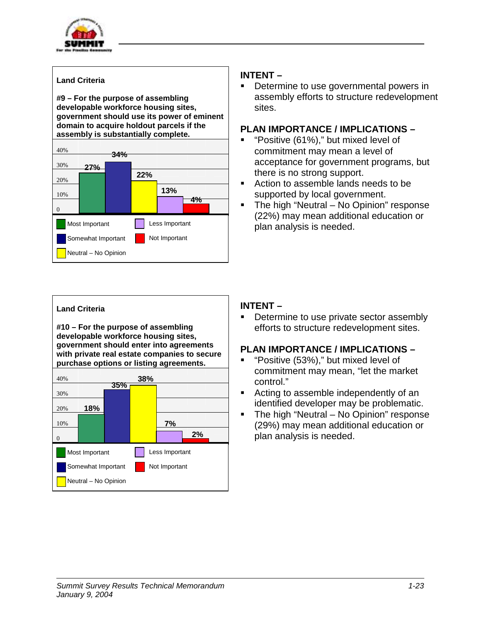

**#9 – For the purpose of assembling developable workforce housing sites, government should use its power of eminent domain to acquire holdout parcels if the assembly is substantially complete.**

| 40%      |                      |     |     |                |
|----------|----------------------|-----|-----|----------------|
| 30%      | 27%                  | 34% |     |                |
| 20%      |                      |     | 22% |                |
| 10%      |                      |     |     | 13%            |
| $\theta$ |                      |     |     | 4%             |
|          | Most Important       |     |     | Less Important |
|          | Somewhat Important   |     |     | Not Important  |
|          | Neutral - No Opinion |     |     |                |

### **Land Criteria**

**#10 – For the purpose of assembling developable workforce housing sites, government should enter into agreements with private real estate companies to secure purchase options or listing agreements.**



## **INTENT –**

**•** Determine to use governmental powers in assembly efforts to structure redevelopment sites.

### **PLAN IMPORTANCE / IMPLICATIONS –**

- "Positive (61%)," but mixed level of commitment may mean a level of acceptance for government programs, but there is no strong support.
- **EXECT** Action to assemble lands needs to be supported by local government.
- **EXECT** The high "Neutral No Opinion" response (22%) may mean additional education or plan analysis is needed.

### **INTENT –**

**• Determine to use private sector assembly** efforts to structure redevelopment sites.

- **E** "Positive (53%)," but mixed level of commitment may mean, "let the market control."
- **EXECT** Acting to assemble independently of an identified developer may be problematic.
- **The high "Neutral No Opinion" response** (29%) may mean additional education or plan analysis is needed.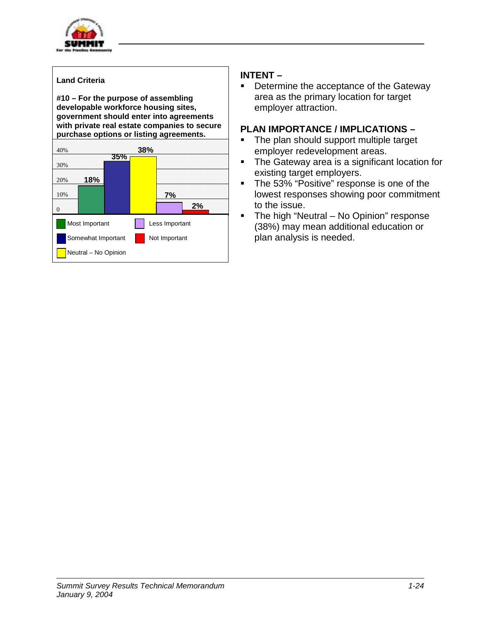

**#10 – For the purpose of assembling developable workforce housing sites, government should enter into agreements with private real estate companies to secure purchase options or listing agreements.**

| 40%                  | 38%    |                |
|----------------------|--------|----------------|
| 30%                  | $35\%$ |                |
| 18%<br>20%           |        |                |
| 10%                  |        | 7%             |
| $\theta$             |        | 2%             |
| Most Important       |        | Less Important |
| Somewhat Important   |        | Not Important  |
| Neutral - No Opinion |        |                |

## **INTENT –**

**• Determine the acceptance of the Gateway** area as the primary location for target employer attraction.

- The plan should support multiple target employer redevelopment areas.
- **The Gateway area is a significant location for** existing target employers.
- **The 53% "Positive" response is one of the** lowest responses showing poor commitment to the issue.
- **The high "Neutral No Opinion" response** (38%) may mean additional education or plan analysis is needed.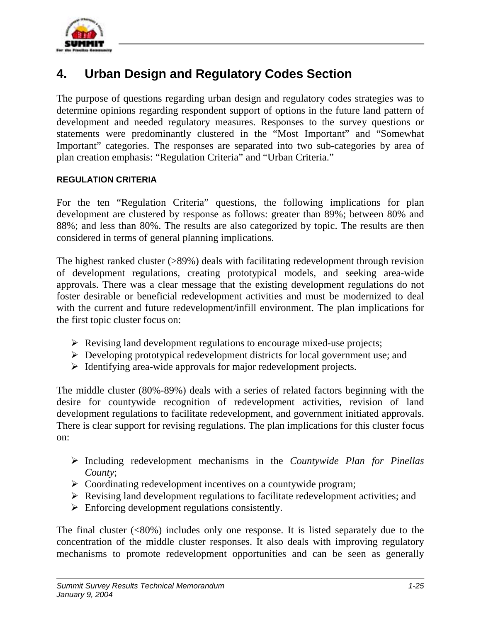

## **4. Urban Design and Regulatory Codes Section**

The purpose of questions regarding urban design and regulatory codes strategies was to determine opinions regarding respondent support of options in the future land pattern of development and needed regulatory measures. Responses to the survey questions or statements were predominantly clustered in the "Most Important" and "Somewhat Important" categories. The responses are separated into two sub-categories by area of plan creation emphasis: "Regulation Criteria" and "Urban Criteria."

## **REGULATION CRITERIA**

For the ten "Regulation Criteria" questions, the following implications for plan development are clustered by response as follows: greater than 89%; between 80% and 88%; and less than 80%. The results are also categorized by topic. The results are then considered in terms of general planning implications.

The highest ranked cluster (>89%) deals with facilitating redevelopment through revision of development regulations, creating prototypical models, and seeking area-wide approvals. There was a clear message that the existing development regulations do not foster desirable or beneficial redevelopment activities and must be modernized to deal with the current and future redevelopment/infill environment. The plan implications for the first topic cluster focus on:

- $\triangleright$  Revising land development regulations to encourage mixed-use projects;
- $\triangleright$  Developing prototypical redevelopment districts for local government use; and
- $\triangleright$  Identifying area-wide approvals for major redevelopment projects.

The middle cluster (80%-89%) deals with a series of related factors beginning with the desire for countywide recognition of redevelopment activities, revision of land development regulations to facilitate redevelopment, and government initiated approvals. There is clear support for revising regulations. The plan implications for this cluster focus on:

- ! Including redevelopment mechanisms in the *Countywide Plan for Pinellas County*;
- $\triangleright$  Coordinating redevelopment incentives on a countywide program;
- $\triangleright$  Revising land development regulations to facilitate redevelopment activities; and
- $\triangleright$  Enforcing development regulations consistently.

The final cluster  $(\leq 80\%)$  includes only one response. It is listed separately due to the concentration of the middle cluster responses. It also deals with improving regulatory mechanisms to promote redevelopment opportunities and can be seen as generally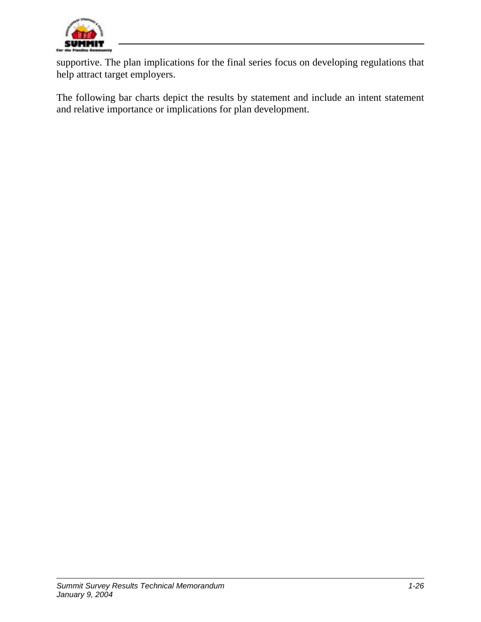

supportive. The plan implications for the final series focus on developing regulations that help attract target employers.

The following bar charts depict the results by statement and include an intent statement and relative importance or implications for plan development.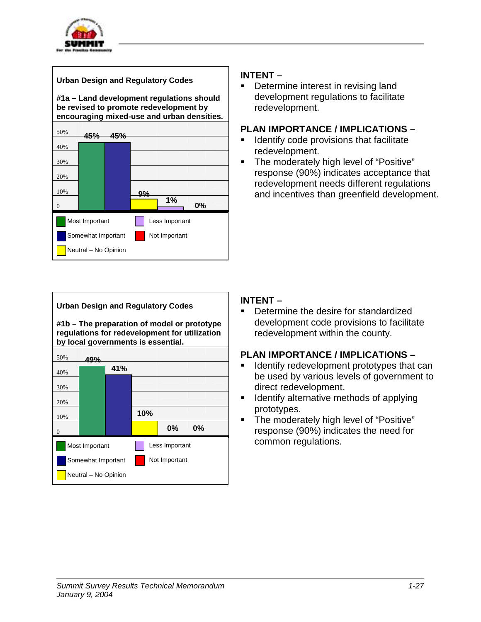



**• Determine interest in revising land** development regulations to facilitate redevelopment.

### **PLAN IMPORTANCE / IMPLICATIONS –**

- **EXEC** Identify code provisions that facilitate redevelopment.
- **The moderately high level of "Positive"** response (90%) indicates acceptance that redevelopment needs different regulations and incentives than greenfield development.



## **INTENT –**

**• Determine the desire for standardized** development code provisions to facilitate redevelopment within the county.

- **EXECTE:** Identify redevelopment prototypes that can be used by various levels of government to direct redevelopment.
- **EXEDENT** Identify alternative methods of applying prototypes.
- **The moderately high level of "Positive"** response (90%) indicates the need for common regulations.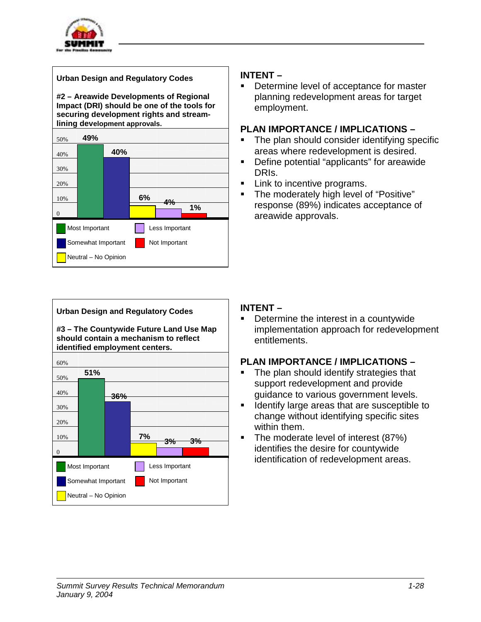

**#2 – Areawide Developments of Regional Impact (DRI) should be one of the tools for securing development rights and streamlining development approvals.**



### **Urban Design and Regulatory Codes #3 – The Countywide Future Land Use Map should contain a mechanism to reflect identified employment centers.** 60% 50% 40% 30% 20% 10% 0 **51% 36% 3% 7% 3%**  Most Important Less Important

Somewhat Important Neutral – No Opinion

## **INTENT –**

**EXEC** Determine level of acceptance for master planning redevelopment areas for target employment.

### **PLAN IMPORTANCE / IMPLICATIONS –**

- **The plan should consider identifying specific** areas where redevelopment is desired.
- **•** Define potential "applicants" for areawide DRIs.
- **EXECUTE:** Link to incentive programs.
- **The moderately high level of "Positive"** response (89%) indicates acceptance of areawide approvals.

## **INTENT –**

Determine the interest in a countywide implementation approach for redevelopment entitlements.

## **PLAN IMPORTANCE / IMPLICATIONS –**

- **EXECT** The plan should identify strategies that support redevelopment and provide guidance to various government levels.
- **EXEDENT** Identify large areas that are susceptible to change without identifying specific sites within them.
- **The moderate level of interest (87%)** identifies the desire for countywide identification of redevelopment areas.

Not Important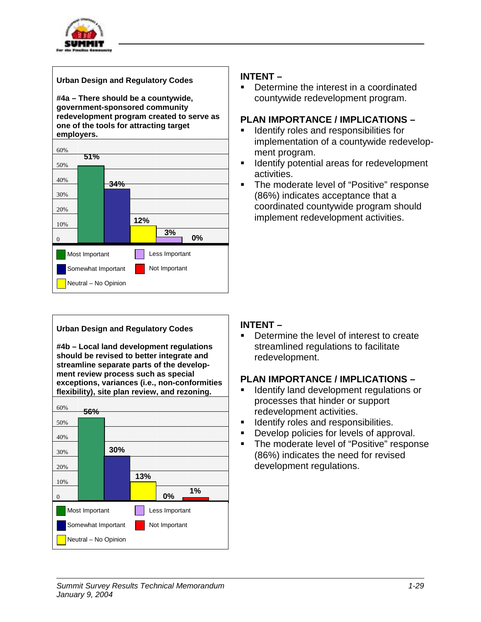

**#4a – There should be a countywide, government-sponsored community redevelopment program created to serve as one of the tools for attracting target employers.**



### **Urban Design and Regulatory Codes**

**#4b – Local land development regulations should be revised to better integrate and streamline separate parts of the development review process such as special exceptions, variances (i.e., non-conformities flexibility), site plan review, and rezoning.**



### **INTENT –**

Determine the interest in a coordinated countywide redevelopment program.

### **PLAN IMPORTANCE / IMPLICATIONS –**

- **EXECUTE:** Identify roles and responsibilities for implementation of a countywide redevelopment program.
- **EXECT** Identify potential areas for redevelopment activities.
- **The moderate level of "Positive" response** (86%) indicates acceptance that a coordinated countywide program should implement redevelopment activities.

### **INTENT –**

Determine the level of interest to create streamlined regulations to facilitate redevelopment.

- Identify land development regulations or processes that hinder or support redevelopment activities.
- **EXECUTE:** Identify roles and responsibilities.
- **Develop policies for levels of approval.**
- **The moderate level of "Positive" response** (86%) indicates the need for revised development regulations.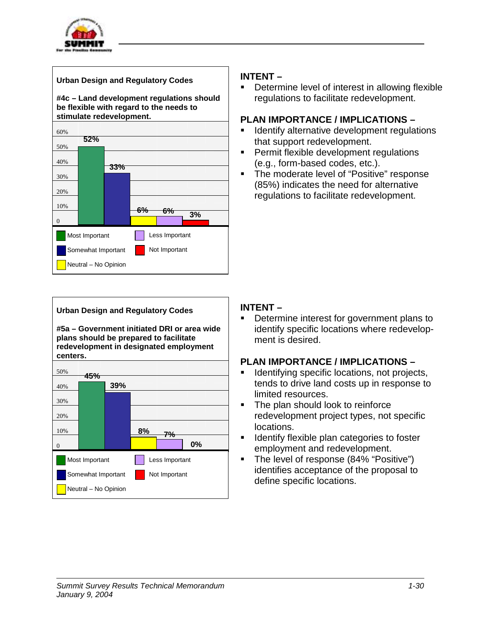



**#5a – Government initiated DRI or area wide plans should be prepared to facilitate redevelopment in designated employment centers.**



## **INTENT –**

**EXECTE:** Determine level of interest in allowing flexible regulations to facilitate redevelopment.

## **PLAN IMPORTANCE / IMPLICATIONS –**

- **EXECTE:** Identify alternative development regulations that support redevelopment.
- **EXECUTE:** Permit flexible development regulations (e.g., form-based codes, etc.).
- **The moderate level of "Positive" response** (85%) indicates the need for alternative regulations to facilitate redevelopment.

## **INTENT –**

Determine interest for government plans to identify specific locations where redevelopment is desired.

- **EXECTE:** Identifying specific locations, not projects, tends to drive land costs up in response to limited resources.
- The plan should look to reinforce redevelopment project types, not specific locations.
- **EXEDENT** Identify flexible plan categories to foster employment and redevelopment.
- **The level of response (84% "Positive")** identifies acceptance of the proposal to define specific locations.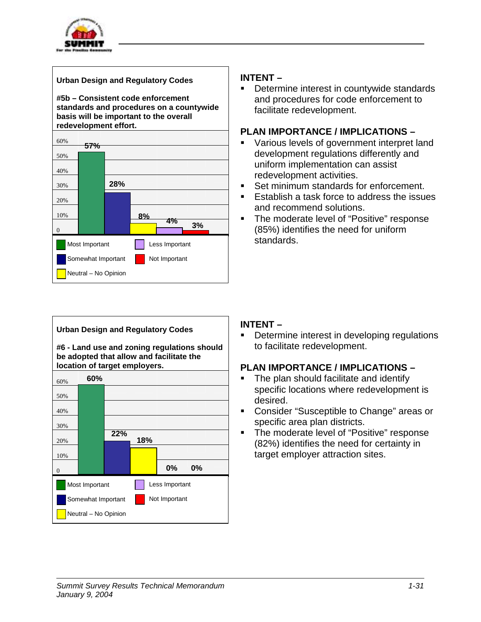

**#5b – Consistent code enforcement standards and procedures on a countywide basis will be important to the overall redevelopment effort.**

| 60%                |                      |     |                |
|--------------------|----------------------|-----|----------------|
| 50%                | <del>57%</del>       |     |                |
| 40%                |                      |     |                |
| 30%                |                      | 28% |                |
| 20%                |                      |     |                |
| 10%                |                      |     | 8%<br>4%       |
| $\overline{0}$     |                      |     | 3%             |
|                    | Most Important       |     | Less Important |
| Somewhat Important |                      |     | Not Important  |
|                    | Neutral - No Opinion |     |                |

### **Urban Design and Regulatory Codes #6 - Land use and zoning regulations should be adopted that allow and facilitate the location of target employers.** 60% 50% 40% 30% 20% 10% 0 **60% 22% 18% 0% 0% Most Important** Somewhat Important Less Important Not Important

## **INTENT –**

**EXEC** Determine interest in countywide standards and procedures for code enforcement to facilitate redevelopment.

### **PLAN IMPORTANCE / IMPLICATIONS –**

- **EXECUTE:** Various levels of government interpret land development regulations differently and uniform implementation can assist redevelopment activities.
- **EXECT:** Set minimum standards for enforcement.
- $\blacksquare$  Establish a task force to address the issues and recommend solutions.
- **The moderate level of "Positive" response** (85%) identifies the need for uniform standards.

## **INTENT –**

**EXECTE:** Determine interest in developing regulations to facilitate redevelopment.

## **PLAN IMPORTANCE / IMPLICATIONS –**

- **The plan should facilitate and identify** specific locations where redevelopment is desired.
- **EXECONSTANGER 12 Consider "Susceptible to Change" areas or** specific area plan districts.
- **The moderate level of "Positive" response** (82%) identifies the need for certainty in target employer attraction sites.

Neutral – No Opinion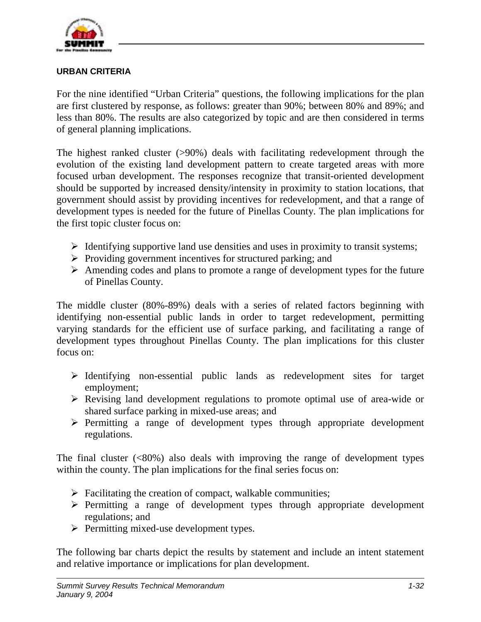

### **URBAN CRITERIA**

For the nine identified "Urban Criteria" questions, the following implications for the plan are first clustered by response, as follows: greater than 90%; between 80% and 89%; and less than 80%. The results are also categorized by topic and are then considered in terms of general planning implications.

The highest ranked cluster (>90%) deals with facilitating redevelopment through the evolution of the existing land development pattern to create targeted areas with more focused urban development. The responses recognize that transit-oriented development should be supported by increased density/intensity in proximity to station locations, that government should assist by providing incentives for redevelopment, and that a range of development types is needed for the future of Pinellas County. The plan implications for the first topic cluster focus on:

- $\triangleright$  Identifying supportive land use densities and uses in proximity to transit systems;
- $\triangleright$  Providing government incentives for structured parking; and
- $\triangleright$  Amending codes and plans to promote a range of development types for the future of Pinellas County.

The middle cluster (80%-89%) deals with a series of related factors beginning with identifying non-essential public lands in order to target redevelopment, permitting varying standards for the efficient use of surface parking, and facilitating a range of development types throughout Pinellas County. The plan implications for this cluster focus on:

- ! Identifying non-essential public lands as redevelopment sites for target employment;
- $\triangleright$  Revising land development regulations to promote optimal use of area-wide or shared surface parking in mixed-use areas; and
- $\triangleright$  Permitting a range of development types through appropriate development regulations.

The final cluster  $(\leq 80\%)$  also deals with improving the range of development types within the county. The plan implications for the final series focus on:

- $\triangleright$  Facilitating the creation of compact, walkable communities;
- $\triangleright$  Permitting a range of development types through appropriate development regulations; and
- $\triangleright$  Permitting mixed-use development types.

The following bar charts depict the results by statement and include an intent statement and relative importance or implications for plan development.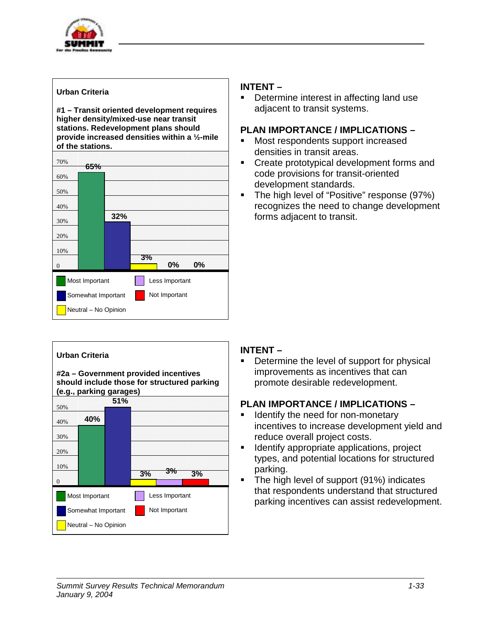

**#1 – Transit oriented development requires higher density/mixed-use near transit stations. Redevelopment plans should provide increased densities within a ½-mile of the stations.**

| 70%            |                      |     |       |                |    |
|----------------|----------------------|-----|-------|----------------|----|
| 60%            | 65%                  |     |       |                |    |
| 50%            |                      |     |       |                |    |
| 40%            |                      |     |       |                |    |
| 30%            |                      | 32% |       |                |    |
| 20%            |                      |     |       |                |    |
| 10%            |                      |     |       |                |    |
| $\overline{0}$ |                      |     | $3\%$ | 0%             | 0% |
|                | Most Important       |     |       | Less Important |    |
|                | Somewhat Important   |     |       | Not Important  |    |
|                | Neutral - No Opinion |     |       |                |    |

## **INTENT –**

**• Determine interest in affecting land use** adjacent to transit systems.

### **PLAN IMPORTANCE / IMPLICATIONS –**

- Most respondents support increased densities in transit areas.
- Create prototypical development forms and code provisions for transit-oriented development standards.
- **The high level of "Positive" response (97%)** recognizes the need to change development forms adjacent to transit.



## **INTENT –**

**EXEC** Determine the level of support for physical improvements as incentives that can promote desirable redevelopment.

- Identify the need for non-monetary incentives to increase development yield and reduce overall project costs.
- **EXEDENTIFY Appropriate applications, project** types, and potential locations for structured parking.
- **The high level of support (91%) indicates** that respondents understand that structured parking incentives can assist redevelopment.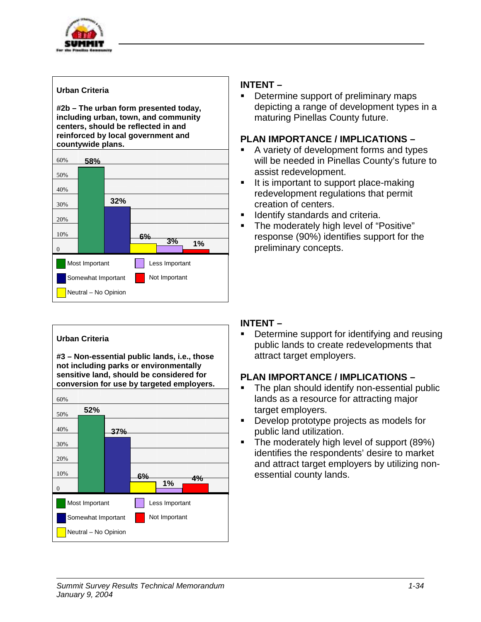

**#2b – The urban form presented today, including urban, town, and community centers, should be reflected in and reinforced by local government and countywide plans.**

| 60%            | 58%                  |     |                |
|----------------|----------------------|-----|----------------|
| 50%            |                      |     |                |
| 40%            |                      |     |                |
| 30%            |                      | 32% |                |
| 20%            |                      |     |                |
| 10%            |                      |     | <u> 6%</u>     |
| $\overline{0}$ |                      |     | 3%<br>1%       |
|                | Most Important       |     | Less Important |
|                | Somewhat Important   |     | Not Important  |
|                | Neutral - No Opinion |     |                |

### **Urban Criteria**

**#3 – Non-essential public lands, i.e., those not including parks or environmentally sensitive land, should be considered for conversion for use by targeted employers.**



## **INTENT –**

**EXEC** Determine support of preliminary maps depicting a range of development types in a maturing Pinellas County future.

### **PLAN IMPORTANCE / IMPLICATIONS –**

- A variety of development forms and types will be needed in Pinellas County's future to assist redevelopment.
- **If is important to support place-making** redevelopment regulations that permit creation of centers.
- **EXECUTE:** Identify standards and criteria.
- **The moderately high level of "Positive"** response (90%) identifies support for the preliminary concepts.

### **INTENT –**

**• Determine support for identifying and reusing** public lands to create redevelopments that attract target employers.

- The plan should identify non-essential public lands as a resource for attracting major target employers.
- **•** Develop prototype projects as models for public land utilization.
- **The moderately high level of support (89%)** identifies the respondents' desire to market and attract target employers by utilizing nonessential county lands.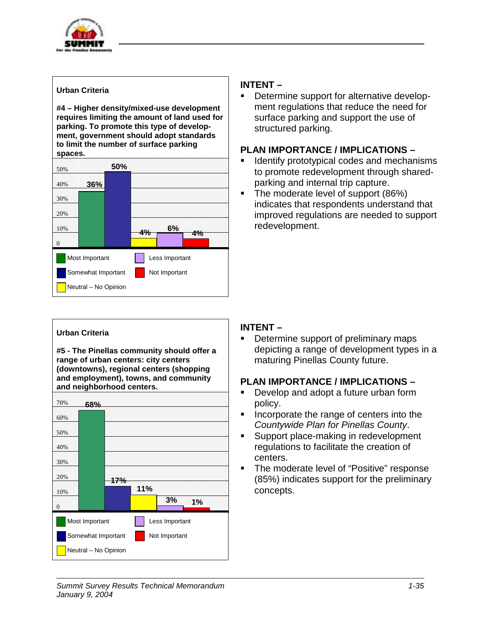

**#4 – Higher density/mixed-use development requires limiting the amount of land used for parking. To promote this type of development, government should adopt standards to limit the number of surface parking spaces.**

| 50%      |                      | 50% |               |                |    |  |  |  |  |
|----------|----------------------|-----|---------------|----------------|----|--|--|--|--|
| 40%      | 36%                  |     |               |                |    |  |  |  |  |
| 30%      |                      |     |               |                |    |  |  |  |  |
| 20%      |                      |     |               |                |    |  |  |  |  |
| 10%      |                      |     | 4%            | 6%             | 4% |  |  |  |  |
| $\theta$ |                      |     |               |                |    |  |  |  |  |
|          | Most Important       |     |               | Less Important |    |  |  |  |  |
|          | Somewhat Important   |     | Not Important |                |    |  |  |  |  |
|          | Neutral - No Opinion |     |               |                |    |  |  |  |  |

### **Urban Criteria**

**#5 - The Pinellas community should offer a range of urban centers: city centers (downtowns), regional centers (shopping and employment), towns, and community and neighborhood centers.**



## **INTENT –**

**EXEC** Determine support for alternative development regulations that reduce the need for surface parking and support the use of structured parking.

### **PLAN IMPORTANCE / IMPLICATIONS –**

- Identify prototypical codes and mechanisms to promote redevelopment through sharedparking and internal trip capture.
- **The moderate level of support (86%)** indicates that respondents understand that improved regulations are needed to support redevelopment.

### **INTENT –**

Determine support of preliminary maps depicting a range of development types in a maturing Pinellas County future.

- **•** Develop and adopt a future urban form policy.
- **EXEC** Incorporate the range of centers into the *Countywide Plan for Pinellas County*.
- **EXEC** Support place-making in redevelopment regulations to facilitate the creation of centers.
- **The moderate level of "Positive" response** (85%) indicates support for the preliminary concepts.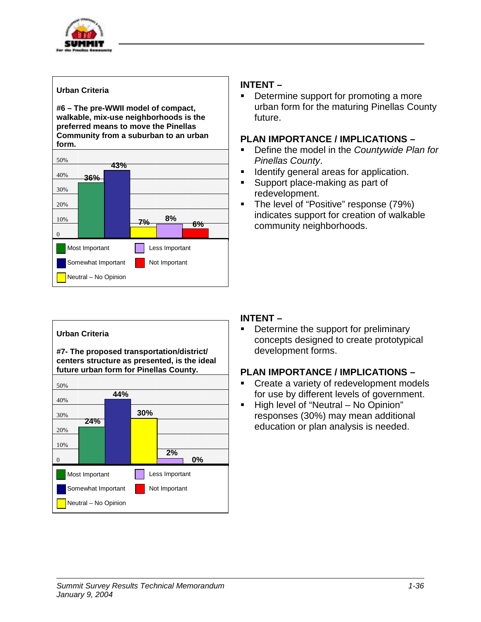

**#6 – The pre-WWII model of compact, walkable, mix-use neighborhoods is the preferred means to move the Pinellas Community from a suburban to an urban form.**

| 50%            |                    |     |               |                |    |  |  |  |  |  |
|----------------|--------------------|-----|---------------|----------------|----|--|--|--|--|--|
| 40%            | 36%                | 43% |               |                |    |  |  |  |  |  |
| 30%            |                    |     |               |                |    |  |  |  |  |  |
| 20%            |                    |     |               |                |    |  |  |  |  |  |
| 10%            |                    |     | 7%            | 8%             | 6% |  |  |  |  |  |
| $\overline{0}$ |                    |     |               |                |    |  |  |  |  |  |
|                | Most Important     |     |               | Less Important |    |  |  |  |  |  |
|                |                    |     | Not Important |                |    |  |  |  |  |  |
|                | Somewhat Important |     |               |                |    |  |  |  |  |  |

### **PLAN IMPORTANCE / IMPLICATIONS –**

**EXEC** Determine support for promoting a more

**EXECT** Define the model in the *Countywide Plan for Pinellas County*.

urban form for the maturing Pinellas County

- **EXEDENT** Identify general areas for application.
- **Example 1** Support place-making as part of redevelopment.
- **The level of "Positive" response (79%)** indicates support for creation of walkable community neighborhoods.

| Urban Criteria                                                                                                                      |                |  |  |  |  |  |  |  |  |  |  |
|-------------------------------------------------------------------------------------------------------------------------------------|----------------|--|--|--|--|--|--|--|--|--|--|
| #7- The proposed transportation/district/<br>centers structure as presented, is the ideal<br>future urban form for Pinellas County. |                |  |  |  |  |  |  |  |  |  |  |
| 50%                                                                                                                                 |                |  |  |  |  |  |  |  |  |  |  |
| 44%<br>40%                                                                                                                          |                |  |  |  |  |  |  |  |  |  |  |
| 30%                                                                                                                                 | 30%            |  |  |  |  |  |  |  |  |  |  |
| 24%<br>20%                                                                                                                          |                |  |  |  |  |  |  |  |  |  |  |
| 10%                                                                                                                                 |                |  |  |  |  |  |  |  |  |  |  |
| $\theta$                                                                                                                            | 2%<br>0%       |  |  |  |  |  |  |  |  |  |  |
| Most Important                                                                                                                      | Less Important |  |  |  |  |  |  |  |  |  |  |
| Somewhat Important                                                                                                                  | Not Important  |  |  |  |  |  |  |  |  |  |  |

## **INTENT –**

**INTENT –**

future.

**EXEC** Determine the support for preliminary concepts designed to create prototypical development forms.

## **PLAN IMPORTANCE / IMPLICATIONS –**

- Create a variety of redevelopment models for use by different levels of government.
- **High level of "Neutral No Opinion"** responses (30%) may mean additional education or plan analysis is needed.

 $\sqrt{\frac{1}{1}}$ Neutral – No Opinion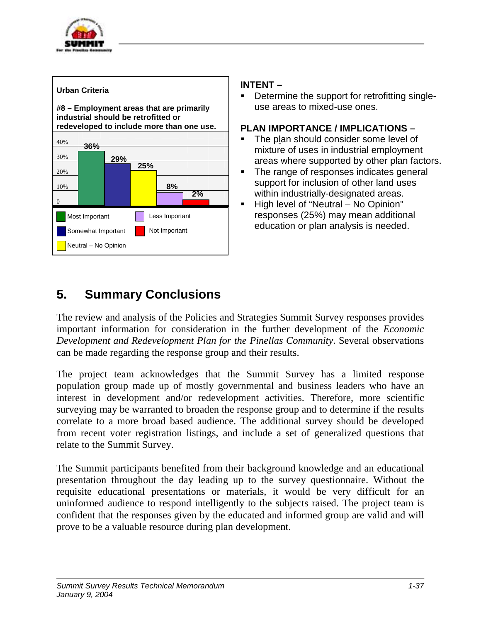



**EXECTE:** Determine the support for retrofitting singleuse areas to mixed-use ones.

## **PLAN IMPORTANCE / IMPLICATIONS –**

- The plan should consider some level of mixture of uses in industrial employment areas where supported by other plan factors.
- **The range of responses indicates general** support for inclusion of other land uses within industrially-designated areas.
- **E** High level of "Neutral No Opinion" responses (25%) may mean additional education or plan analysis is needed.

## **5. Summary Conclusions**

The review and analysis of the Policies and Strategies Summit Survey responses provides important information for consideration in the further development of the *Economic Development and Redevelopment Plan for the Pinellas Community*. Several observations can be made regarding the response group and their results.

The project team acknowledges that the Summit Survey has a limited response population group made up of mostly governmental and business leaders who have an interest in development and/or redevelopment activities. Therefore, more scientific surveying may be warranted to broaden the response group and to determine if the results correlate to a more broad based audience. The additional survey should be developed from recent voter registration listings, and include a set of generalized questions that relate to the Summit Survey.

The Summit participants benefited from their background knowledge and an educational presentation throughout the day leading up to the survey questionnaire. Without the requisite educational presentations or materials, it would be very difficult for an uninformed audience to respond intelligently to the subjects raised. The project team is confident that the responses given by the educated and informed group are valid and will prove to be a valuable resource during plan development.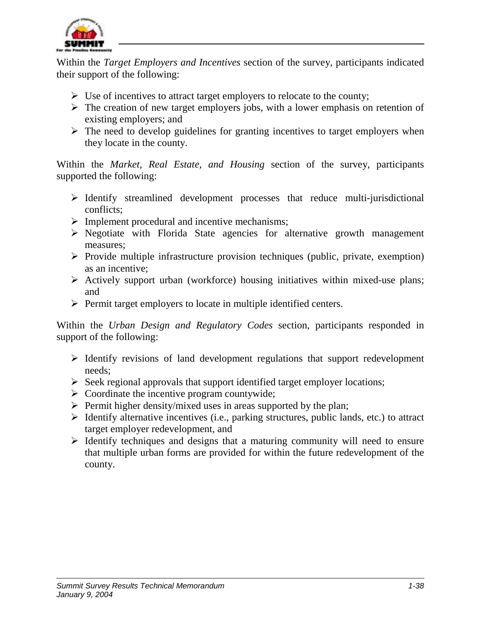

Within the *Target Employers and Incentives* section of the survey, participants indicated their support of the following:

- $\triangleright$  Use of incentives to attract target employers to relocate to the county;
- $\triangleright$  The creation of new target employers jobs, with a lower emphasis on retention of existing employers; and
- $\triangleright$  The need to develop guidelines for granting incentives to target employers when they locate in the county.

Within the *Market, Real Estate, and Housing* section of the survey, participants supported the following:

- $\triangleright$  Identify streamlined development processes that reduce multi-jurisdictional conflicts;
- $\triangleright$  Implement procedural and incentive mechanisms;
- $\triangleright$  Negotiate with Florida State agencies for alternative growth management measures;
- $\triangleright$  Provide multiple infrastructure provision techniques (public, private, exemption) as an incentive;
- $\triangleright$  Actively support urban (workforce) housing initiatives within mixed-use plans; and
- $\triangleright$  Permit target employers to locate in multiple identified centers.

Within the *Urban Design and Regulatory Codes* section, participants responded in support of the following:

- $\triangleright$  Identify revisions of land development regulations that support redevelopment needs;
- $\triangleright$  Seek regional approvals that support identified target employer locations;
- $\triangleright$  Coordinate the incentive program countywide;
- $\triangleright$  Permit higher density/mixed uses in areas supported by the plan;
- ! Identify alternative incentives (i.e., parking structures, public lands, etc.) to attract target employer redevelopment, and
- $\triangleright$  Identify techniques and designs that a maturing community will need to ensure that multiple urban forms are provided for within the future redevelopment of the county.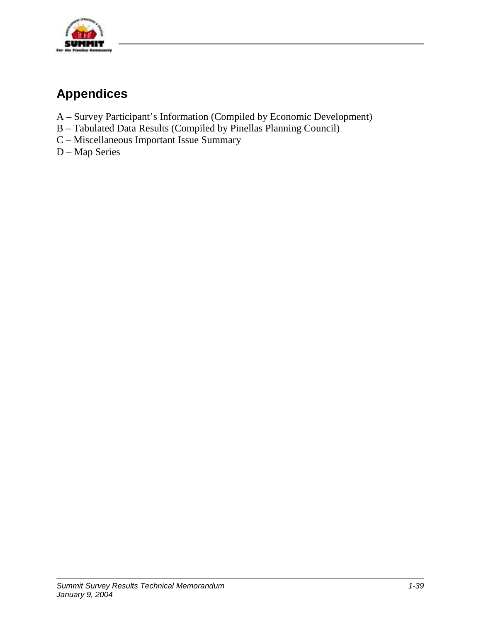

## **Appendices**

- A Survey Participant's Information (Compiled by Economic Development)
- B Tabulated Data Results (Compiled by Pinellas Planning Council)
- C Miscellaneous Important Issue Summary
- D Map Series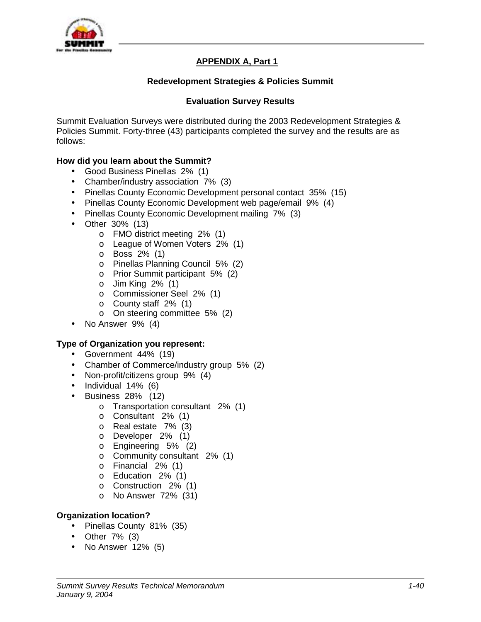

## **APPENDIX A, Part 1**

### **Redevelopment Strategies & Policies Summit**

### **Evaluation Survey Results**

Summit Evaluation Surveys were distributed during the 2003 Redevelopment Strategies & Policies Summit. Forty-three (43) participants completed the survey and the results are as follows:

### **How did you learn about the Summit?**

- Good Business Pinellas 2% (1)
- Chamber/industry association 7% (3)
- Pinellas County Economic Development personal contact 35% (15)
- Pinellas County Economic Development web page/email 9% (4)
- Pinellas County Economic Development mailing 7% (3)
- Other 30% (13)
	- o FMO district meeting 2% (1)
	- o League of Women Voters 2% (1)
	- o Boss 2% (1)
	- o Pinellas Planning Council 5% (2)
	- o Prior Summit participant 5% (2)
	- o Jim King 2% (1)
	- o Commissioner Seel 2% (1)
	- o County staff 2% (1)
	- o On steering committee 5% (2)
- No Answer 9% (4)

### **Type of Organization you represent:**

- Government 44% (19)
- Chamber of Commerce/industry group 5% (2)
- Non-profit/citizens group 9% (4)
- Individual 14% (6)
- Business 28% (12)
	- o Transportation consultant 2% (1)
	- o Consultant 2% (1)
	- o Real estate 7% (3)
	- o Developer 2% (1)
	- o Engineering 5% (2)
	- o Community consultant 2% (1)
	- o Financial 2% (1)
	- o Education 2% (1)
	- o Construction 2% (1)
	- o No Answer 72% (31)

### **Organization location?**

- Pinellas County 81% (35)
- Other 7% (3)
- No Answer 12% (5)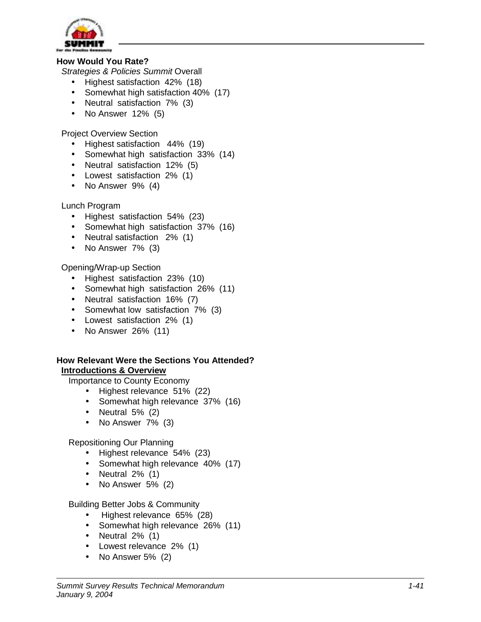

### **How Would You Rate?**

*Strategies & Policies Summit* Overall

- Highest satisfaction 42% (18)
- Somewhat high satisfaction 40% (17)
- Neutral satisfaction 7% (3)
- No Answer 12% (5)

Project Overview Section

- Highest satisfaction 44% (19)
- Somewhat high satisfaction 33% (14)
- Neutral satisfaction 12% (5)
- Lowest satisfaction 2% (1)
- No Answer 9% (4)

### Lunch Program

- Highest satisfaction 54% (23)
- Somewhat high satisfaction 37% (16)
- Neutral satisfaction 2% (1)
- No Answer 7% (3)

Opening/Wrap-up Section

- Highest satisfaction 23% (10)
- Somewhat high satisfaction 26% (11)
- Neutral satisfaction 16% (7)
- Somewhat low satisfaction 7% (3)
- Lowest satisfaction 2% (1)
- No Answer 26% (11)

### **How Relevant Were the Sections You Attended? Introductions & Overview**

Importance to County Economy

- Highest relevance 51% (22)
- Somewhat high relevance 37% (16)
- Neutral 5% (2)
- No Answer 7% (3)

Repositioning Our Planning

- Highest relevance 54% (23)
- Somewhat high relevance 40% (17)
- Neutral 2% (1)
- No Answer 5% (2)

Building Better Jobs & Community

- Highest relevance 65% (28)
- Somewhat high relevance 26% (11)
- Neutral  $2\%$  (1)
- Lowest relevance 2% (1)
- No Answer 5% (2)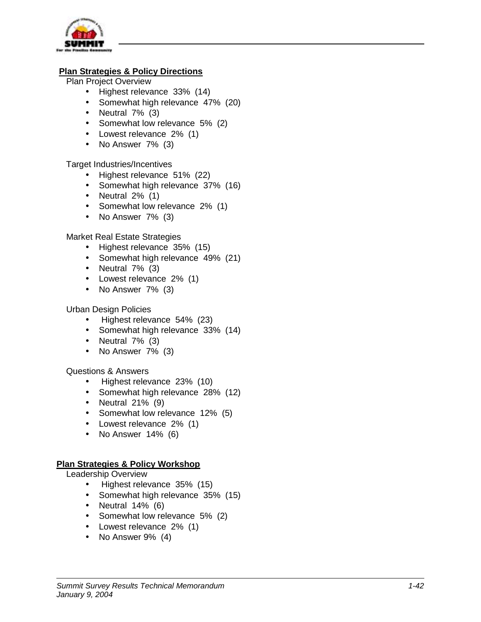

### **Plan Strategies & Policy Directions**

Plan Project Overview

- Highest relevance 33% (14)
- Somewhat high relevance 47% (20)
- Neutral 7% (3)
- Somewhat low relevance 5% (2)
- Lowest relevance 2% (1)
- No Answer 7% (3)

Target Industries/Incentives

- Highest relevance 51% (22)
- Somewhat high relevance 37% (16)
- Neutral 2% (1)
- Somewhat low relevance 2% (1)
- No Answer 7% (3)

Market Real Estate Strategies

- Highest relevance 35% (15)
- Somewhat high relevance 49% (21)
- Neutral 7% (3)
- Lowest relevance 2% (1)
- No Answer 7% (3)

Urban Design Policies

- Highest relevance 54% (23)
- Somewhat high relevance 33% (14)
- Neutral 7% (3)
- No Answer 7% (3)

Questions & Answers

- Highest relevance 23% (10)
- Somewhat high relevance 28% (12)
- Neutral 21% (9)
- Somewhat low relevance 12% (5)
- Lowest relevance 2% (1)
- No Answer 14% (6)

### **Plan Strategies & Policy Workshop**

Leadership Overview

- Highest relevance 35% (15)
- Somewhat high relevance 35% (15)
- Neutral  $14\%$  (6)
- Somewhat low relevance 5% (2)
- Lowest relevance 2% (1)
- No Answer 9% (4)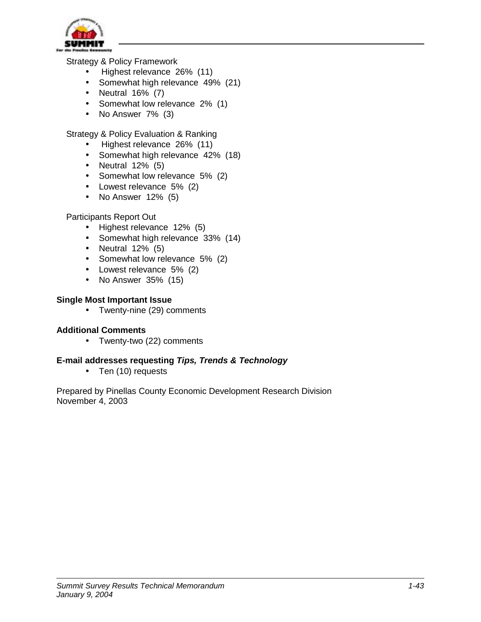

### Strategy & Policy Framework

- Highest relevance 26% (11)
- Somewhat high relevance 49% (21)
- Neutral 16% (7)
- Somewhat low relevance 2% (1)
- No Answer 7% (3)

### Strategy & Policy Evaluation & Ranking

- Highest relevance 26% (11)
- Somewhat high relevance 42% (18)
- Neutral 12% (5)
- Somewhat low relevance 5% (2)
- Lowest relevance 5% (2)
- No Answer 12% (5)

### Participants Report Out

- Highest relevance 12% (5)
- Somewhat high relevance 33% (14)
- Neutral 12% (5)
- Somewhat low relevance 5% (2)
- Lowest relevance 5% (2)
- No Answer 35% (15)

### **Single Most Important Issue**

• Twenty-nine (29) comments

### **Additional Comments**

• Twenty-two (22) comments

### **E-mail addresses requesting** *Tips, Trends & Technology*

• Ten (10) requests

Prepared by Pinellas County Economic Development Research Division November 4, 2003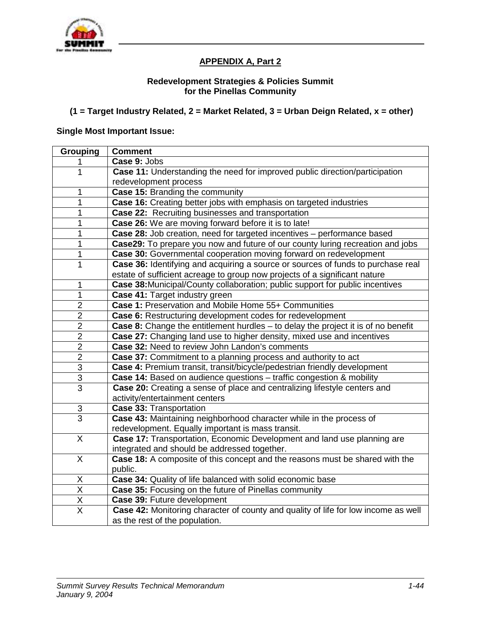

## **APPENDIX A, Part 2**

### **Redevelopment Strategies & Policies Summit for the Pinellas Community**

### **(1 = Target Industry Related, 2 = Market Related, 3 = Urban Deign Related, x = other)**

### **Single Most Important Issue:**

| Grouping                        | <b>Comment</b>                                                                     |
|---------------------------------|------------------------------------------------------------------------------------|
| 1                               | Case 9: Jobs                                                                       |
| 1                               | Case 11: Understanding the need for improved public direction/participation        |
|                                 | redevelopment process                                                              |
| 1                               | Case 15: Branding the community                                                    |
| 1                               | Case 16: Creating better jobs with emphasis on targeted industries                 |
| 1                               | Case 22: Recruiting businesses and transportation                                  |
| 1                               | Case 26: We are moving forward before it is to late!                               |
| 1                               | Case 28: Job creation, need for targeted incentives - performance based            |
| 1                               | Case29: To prepare you now and future of our county luring recreation and jobs     |
| 1                               | Case 30: Governmental cooperation moving forward on redevelopment                  |
| 1                               | Case 36: Identifying and acquiring a source or sources of funds to purchase real   |
|                                 | estate of sufficient acreage to group now projects of a significant nature         |
| 1                               | Case 38: Municipal/County collaboration; public support for public incentives      |
| 1                               | Case 41: Target industry green                                                     |
| $\overline{2}$                  | Case 1: Preservation and Mobile Home 55+ Communities                               |
| $\overline{2}$                  | Case 6: Restructuring development codes for redevelopment                          |
| $\overline{2}$                  | Case 8: Change the entitlement hurdles - to delay the project it is of no benefit  |
| $\overline{2}$                  | Case 27: Changing land use to higher density, mixed use and incentives             |
| $\overline{2}$                  | Case 32: Need to review John Landon's comments                                     |
| $\overline{2}$                  | Case 37: Commitment to a planning process and authority to act                     |
| 3                               | Case 4: Premium transit, transit/bicycle/pedestrian friendly development           |
| 3                               | Case 14: Based on audience questions - traffic congestion & mobility               |
| $\overline{3}$                  | Case 20: Creating a sense of place and centralizing lifestyle centers and          |
|                                 | activity/entertainment centers                                                     |
| $\ensuremath{\mathsf{3}}$       | Case 33: Transportation                                                            |
| $\overline{3}$                  | Case 43: Maintaining neighborhood character while in the process of                |
|                                 | redevelopment. Equally important is mass transit.                                  |
| $\overline{\mathsf{X}}$         | Case 17: Transportation, Economic Development and land use planning are            |
|                                 | integrated and should be addressed together.                                       |
| $\overline{X}$                  | Case 18: A composite of this concept and the reasons must be shared with the       |
|                                 | public.                                                                            |
| X                               | Case 34: Quality of life balanced with solid economic base                         |
| $\overline{\mathsf{x}}$         | Case 35: Focusing on the future of Pinellas community                              |
| $\frac{\mathsf{x}}{\mathsf{x}}$ | Case 39: Future development                                                        |
|                                 | Case 42: Monitoring character of county and quality of life for low income as well |
|                                 | as the rest of the population.                                                     |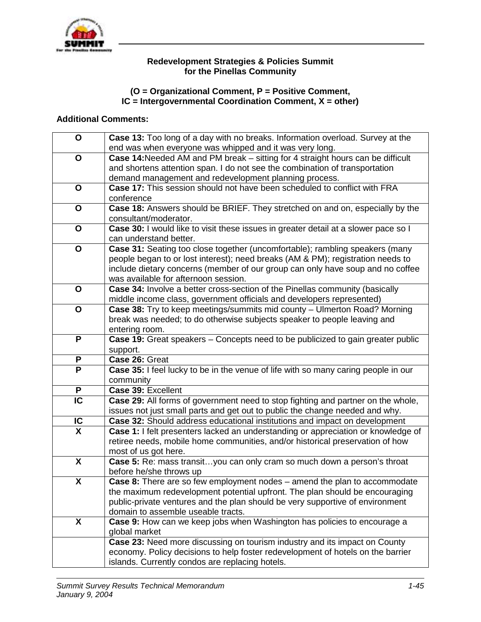

### **Redevelopment Strategies & Policies Summit for the Pinellas Community**

### **(O = Organizational Comment, P = Positive Comment, IC = Intergovernmental Coordination Comment, X = other)**

### **Additional Comments:**

| O                       | Case 13: Too long of a day with no breaks. Information overload. Survey at the             |
|-------------------------|--------------------------------------------------------------------------------------------|
|                         | end was when everyone was whipped and it was very long.                                    |
| O                       | <b>Case 14: Needed AM and PM break – sitting for 4 straight hours can be difficult</b>     |
|                         | and shortens attention span. I do not see the combination of transportation                |
|                         | demand management and redevelopment planning process.                                      |
| $\mathbf{o}$            | Case 17: This session should not have been scheduled to conflict with FRA                  |
|                         | conference                                                                                 |
| O                       | Case 18: Answers should be BRIEF. They stretched on and on, especially by the              |
|                         | consultant/moderator.                                                                      |
| $\mathbf{o}$            | <b>Case 30:</b> I would like to visit these issues in greater detail at a slower pace so I |
|                         | can understand better.                                                                     |
| $\mathbf{o}$            | Case 31: Seating too close together (uncomfortable); rambling speakers (many               |
|                         | people began to or lost interest); need breaks (AM & PM); registration needs to            |
|                         | include dietary concerns (member of our group can only have soup and no coffee             |
|                         | was available for afternoon session.                                                       |
| $\mathbf{o}$            | Case 34: Involve a better cross-section of the Pinellas community (basically               |
|                         | middle income class, government officials and developers represented)                      |
| $\mathbf{o}$            | Case 38: Try to keep meetings/summits mid county - Ulmerton Road? Morning                  |
|                         | break was needed; to do otherwise subjects speaker to people leaving and                   |
|                         | entering room.                                                                             |
| P                       | <b>Case 19:</b> Great speakers – Concepts need to be publicized to gain greater public     |
|                         | support.                                                                                   |
| P                       | Case 26: Great                                                                             |
| P                       | Case 35: I feel lucky to be in the venue of life with so many caring people in our         |
|                         | community                                                                                  |
| P                       | Case 39: Excellent                                                                         |
| IC                      | Case 29: All forms of government need to stop fighting and partner on the whole,           |
|                         | issues not just small parts and get out to public the change needed and why.               |
| IC                      | Case 32: Should address educational institutions and impact on development                 |
| $\overline{\mathsf{x}}$ | Case 1: I felt presenters lacked an understanding or appreciation or knowledge of          |
|                         | retiree needs, mobile home communities, and/or historical preservation of how              |
|                         | most of us got here.                                                                       |
| $\mathsf{x}$            | Case 5: Re: mass transityou can only cram so much down a person's throat                   |
|                         | before he/she throws up                                                                    |
| X                       | Case 8: There are so few employment nodes - amend the plan to accommodate                  |
|                         | the maximum redevelopment potential upfront. The plan should be encouraging                |
|                         | public-private ventures and the plan should be very supportive of environment              |
|                         | domain to assemble useable tracts.                                                         |
| X                       | Case 9: How can we keep jobs when Washington has policies to encourage a                   |
|                         | global market                                                                              |
|                         | Case 23: Need more discussing on tourism industry and its impact on County                 |
|                         | economy. Policy decisions to help foster redevelopment of hotels on the barrier            |
|                         | islands. Currently condos are replacing hotels.                                            |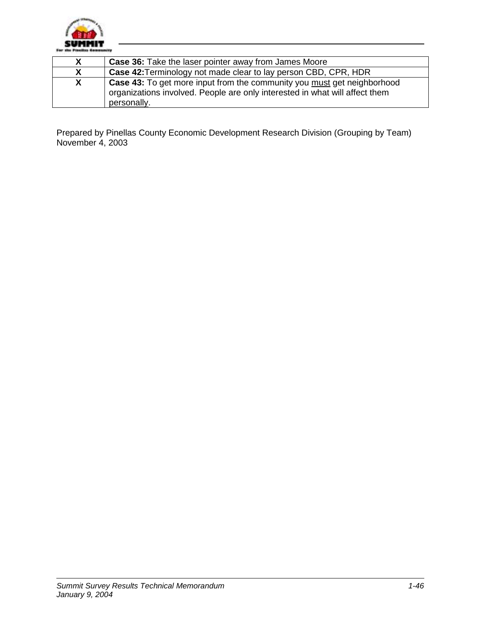

| X | <b>Case 36:</b> Take the laser pointer away from James Moore                                                                                                          |
|---|-----------------------------------------------------------------------------------------------------------------------------------------------------------------------|
| X | <b>Case 42: Terminology not made clear to lay person CBD, CPR, HDR</b>                                                                                                |
| X | Case 43: To get more input from the community you must get neighborhood<br>organizations involved. People are only interested in what will affect them<br>personally. |

Prepared by Pinellas County Economic Development Research Division (Grouping by Team) November 4, 2003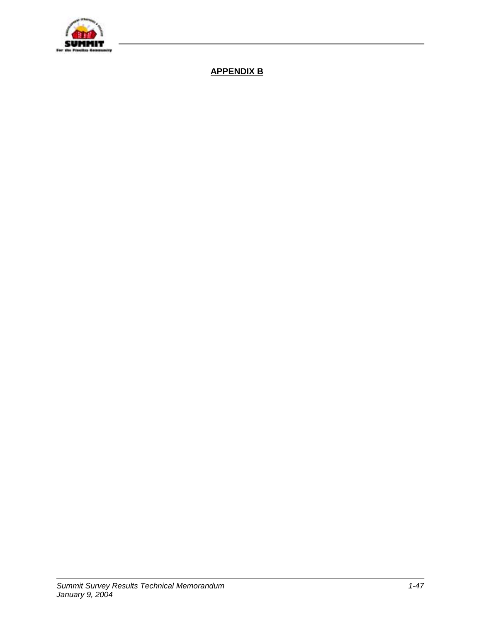

## **APPENDIX B**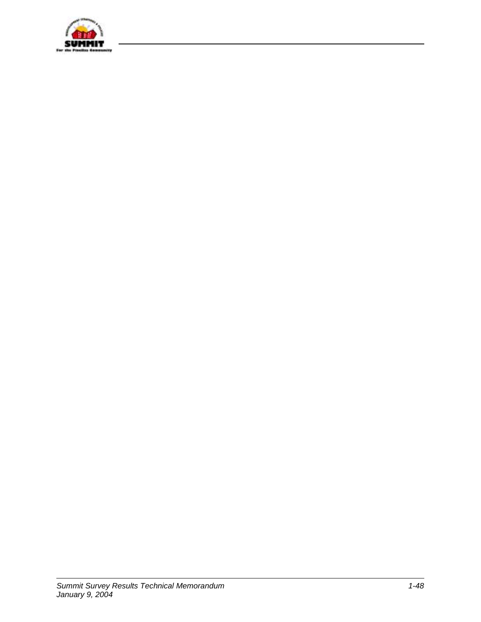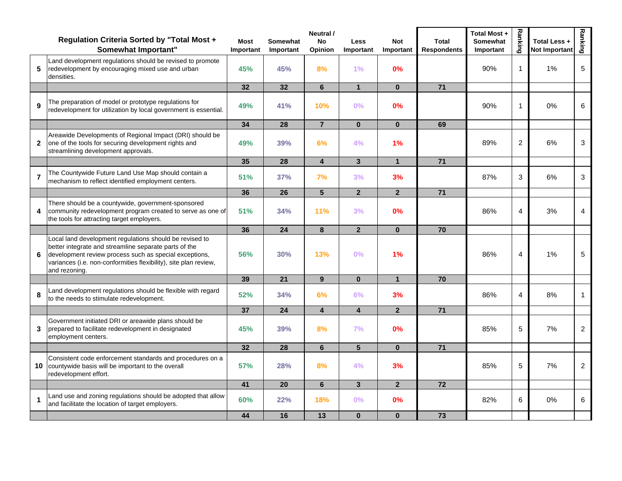|              | <b>Regulation Criteria Sorted by "Total Most +</b><br><b>Somewhat Important"</b>                                                                                                                                                                                | <b>Most</b><br>Important | Somewhat<br>Important | Neutral /<br><b>No</b><br>Opinion | <b>Less</b><br>Important | <b>Not</b><br>Important | <b>Total</b><br><b>Respondents</b> | <b>Total Most +</b><br><b>Somewhat</b><br>Important | Ranking        | Total Less +<br><b>Not Important</b> | Ranking        |
|--------------|-----------------------------------------------------------------------------------------------------------------------------------------------------------------------------------------------------------------------------------------------------------------|--------------------------|-----------------------|-----------------------------------|--------------------------|-------------------------|------------------------------------|-----------------------------------------------------|----------------|--------------------------------------|----------------|
| 5            | Land development regulations should be revised to promote<br>redevelopment by encouraging mixed use and urban<br>densities.                                                                                                                                     | 45%                      | 45%                   | 8%                                | 1%                       | 0%                      |                                    | 90%                                                 | $\mathbf{1}$   | 1%                                   | 5              |
|              |                                                                                                                                                                                                                                                                 | 32 <sub>2</sub>          | 32                    | 6                                 | $\mathbf{1}$             | $\bf{0}$                | $\overline{71}$                    |                                                     |                |                                      |                |
| 9            | The preparation of model or prototype regulations for<br>redevelopment for utilization by local government is essential.                                                                                                                                        | 49%                      | 41%                   | 10%                               | 0%                       | 0%                      |                                    | 90%                                                 | 1              | $0\%$                                | 6              |
|              |                                                                                                                                                                                                                                                                 | 34                       | 28                    | $\overline{7}$                    | $\bf{0}$                 | $\bf{0}$                | 69                                 |                                                     |                |                                      |                |
| $\mathbf{2}$ | Areawide Developments of Regional Impact (DRI) should be<br>one of the tools for securing development rights and<br>streamlining development approvals.                                                                                                         | 49%                      | 39%                   | 6%                                | 4%                       | 1%                      |                                    | 89%                                                 | $\overline{c}$ | 6%                                   | 3              |
|              |                                                                                                                                                                                                                                                                 | 35                       | 28                    | $\overline{\mathbf{4}}$           | $\mathbf{3}$             | $\mathbf{1}$            | 71                                 |                                                     |                |                                      |                |
| 7            | The Countywide Future Land Use Map should contain a<br>mechanism to reflect identified employment centers.                                                                                                                                                      | 51%                      | 37%                   | 7%                                | 3%                       | 3%                      |                                    | 87%                                                 | 3              | 6%                                   | 3              |
|              |                                                                                                                                                                                                                                                                 | 36                       | 26                    | 5                                 | $\overline{2}$           | $\mathbf{2}$            | 71                                 |                                                     |                |                                      |                |
| 4            | There should be a countywide, government-sponsored<br>community redevelopment program created to serve as one of<br>the tools for attracting target employers.                                                                                                  | 51%                      | 34%                   | 11%                               | 3%                       | 0%                      |                                    | 86%                                                 | 4              | 3%                                   | 4              |
|              |                                                                                                                                                                                                                                                                 | 36                       | 24                    | 8                                 | $\overline{2}$           | $\bf{0}$                | 70                                 |                                                     |                |                                      |                |
| 6            | Local land development regulations should be revised to<br>better integrate and streamline separate parts of the<br>development review process such as special exceptions,<br>variances (i.e. non-conformities flexibility), site plan review,<br>and rezoning. | 56%                      | 30%                   | 13%                               | 0%                       | 1%                      |                                    | 86%                                                 | 4              | 1%                                   | 5              |
|              |                                                                                                                                                                                                                                                                 | 39                       | 21                    | 9                                 | $\mathbf{0}$             | $\mathbf{1}$            | 70                                 |                                                     |                |                                      |                |
| 8            | and development regulations should be flexible with regard<br>to the needs to stimulate redevelopment.                                                                                                                                                          | 52%                      | 34%                   | 6%                                | 6%                       | 3%                      |                                    | 86%                                                 | 4              | 8%                                   | $\mathbf{1}$   |
|              |                                                                                                                                                                                                                                                                 | 37                       | 24                    | $\overline{\mathbf{4}}$           | $\overline{4}$           | $\overline{2}$          | 71                                 |                                                     |                |                                      |                |
| 3            | Government initiated DRI or areawide plans should be<br>prepared to facilitate redevelopment in designated<br>employment centers.                                                                                                                               | 45%                      | 39%                   | 8%                                | 7%                       | 0%                      |                                    | 85%                                                 | 5              | 7%                                   | $\overline{2}$ |
|              |                                                                                                                                                                                                                                                                 | 32                       | 28                    | 6                                 | $5\phantom{1}$           | $\bf{0}$                | $\overline{71}$                    |                                                     |                |                                      |                |
| 10           | Consistent code enforcement standards and procedures on a<br>countywide basis will be important to the overall<br>redevelopment effort.                                                                                                                         | 57%                      | 28%                   | 8%                                | 4%                       | 3%                      |                                    | 85%                                                 | 5              | 7%                                   | 2              |
|              |                                                                                                                                                                                                                                                                 | 41                       | 20                    | 6                                 | $\mathbf{3}$             | $\overline{2}$          | 72                                 |                                                     |                |                                      |                |
| 1            | and use and zoning regulations should be adopted that allow<br>and facilitate the location of target employers.                                                                                                                                                 | 60%                      | 22%                   | <b>18%</b>                        | 0%                       | 0%                      |                                    | 82%                                                 | 6              | 0%                                   | 6              |
|              |                                                                                                                                                                                                                                                                 | 44                       | 16                    | 13                                | $\bf{0}$                 | $\bf{0}$                | 73                                 |                                                     |                |                                      |                |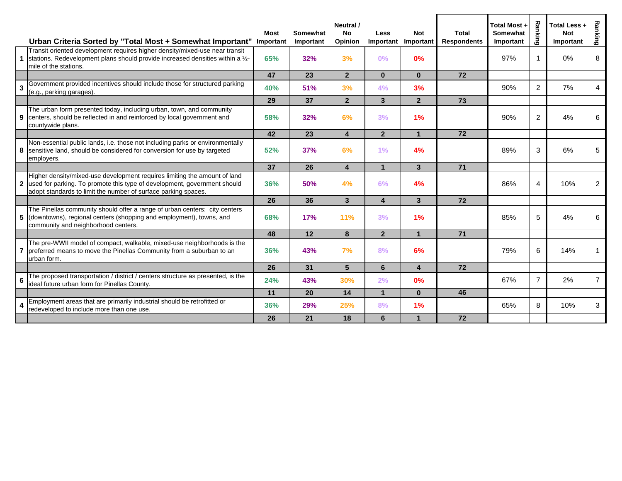|                | Urban Criteria Sorted by "Total Most + Somewhat Important"                                                                                                                                                                | <b>Most</b><br>Important | Somewhat<br>Important | Neutral /<br><b>No</b><br>Opinion | <b>Less</b><br>Important | <b>Not</b><br>Important | <b>Total</b><br><b>Respondents</b> | Total Most +<br>Somewhat<br>Important | Ranking        | Total Less +<br><b>Not</b><br>Important | Ranking        |
|----------------|---------------------------------------------------------------------------------------------------------------------------------------------------------------------------------------------------------------------------|--------------------------|-----------------------|-----------------------------------|--------------------------|-------------------------|------------------------------------|---------------------------------------|----------------|-----------------------------------------|----------------|
|                | Transit oriented development requires higher density/mixed-use near transit<br>stations. Redevelopment plans should provide increased densities within a 1/2-<br>mile of the stations.                                    | 65%                      | 32%                   | 3%                                | 0%                       | 0%                      |                                    | 97%                                   | $\mathbf{1}$   | $0\%$                                   | 8              |
|                |                                                                                                                                                                                                                           | 47                       | 23                    | $\overline{2}$                    | $\mathbf{0}$             | $\mathbf{0}$            | 72                                 |                                       |                |                                         |                |
| $\overline{3}$ | Government provided incentives should include those for structured parking<br>(e.g., parking garages).                                                                                                                    | 40%                      | 51%                   | 3%                                | 4%                       | 3%                      |                                    | 90%                                   | $\overline{2}$ | 7%                                      | $\overline{4}$ |
|                |                                                                                                                                                                                                                           | 29                       | 37                    | 2 <sup>1</sup>                    | $\overline{3}$           | 2 <sup>1</sup>          | 73                                 |                                       |                |                                         |                |
|                | The urban form presented today, including urban, town, and community<br>9 centers, should be reflected in and reinforced by local government and<br>countywide plans.                                                     | 58%                      | 32%                   | 6%                                | 3%                       | $1\%$                   |                                    | 90%                                   | $\overline{c}$ | 4%                                      | 6              |
|                |                                                                                                                                                                                                                           | 42                       | 23                    | $\overline{\mathbf{4}}$           | $\overline{2}$           | $\mathbf{1}$            | 72                                 |                                       |                |                                         |                |
|                | Non-essential public lands, i.e. those not including parks or environmentally<br>8 sensitive land, should be considered for conversion for use by targeted<br>employers.                                                  | 52%                      | 37%                   | 6%                                | 1%                       | 4%                      |                                    | 89%                                   | $\mathbf{3}$   | 6%                                      | 5              |
|                |                                                                                                                                                                                                                           | 37                       | 26                    | $\overline{\mathbf{4}}$           | $\mathbf{1}$             | 3 <sup>1</sup>          | 71                                 |                                       |                |                                         |                |
|                | Higher density/mixed-use development requires limiting the amount of land<br>2 used for parking. To promote this type of development, government should<br>adopt standards to limit the number of surface parking spaces. | 36%                      | 50%                   | 4%                                | 6%                       | 4%                      |                                    | 86%                                   | $\overline{4}$ | 10%                                     | $\overline{2}$ |
|                |                                                                                                                                                                                                                           | 26                       | 36                    | 3 <sup>1</sup>                    | $\overline{\mathbf{4}}$  | 3 <sup>1</sup>          | 72                                 |                                       |                |                                         |                |
| 5              | The Pinellas community should offer a range of urban centers: city centers<br>(downtowns), regional centers (shopping and employment), towns, and<br>community and neighborhood centers.                                  | 68%                      | 17%                   | 11%                               | 3%                       | $1\%$                   |                                    | 85%                                   | 5              | 4%                                      | 6              |
|                |                                                                                                                                                                                                                           | 48                       | 12                    | 8                                 | $\overline{2}$           | 1                       | 71                                 |                                       |                |                                         |                |
| 7              | The pre-WWII model of compact, walkable, mixed-use neighborhoods is the<br>preferred means to move the Pinellas Community from a suburban to an<br>lurban form.                                                           | 36%                      | 43%                   | 7%                                | 8%                       | 6%                      |                                    | 79%                                   | 6              | 14%                                     | $\overline{1}$ |
|                |                                                                                                                                                                                                                           | 26                       | 31                    | 5                                 | 6                        | 4                       | 72                                 |                                       |                |                                         |                |
| 6              | The proposed transportation / district / centers structure as presented, is the<br>ideal future urban form for Pinellas County.                                                                                           | 24%                      | 43%                   | 30%                               | 2%                       | 0%                      |                                    | 67%                                   | $\overline{7}$ | 2%                                      | $\overline{7}$ |
|                |                                                                                                                                                                                                                           | 11                       | 20                    | 14                                | $\mathbf{1}$             | $\mathbf{0}$            | 46                                 |                                       |                |                                         |                |
| 4              | Employment areas that are primarily industrial should be retrofitted or<br>redeveloped to include more than one use.                                                                                                      | 36%                      | 29%                   | 25%                               | 8%                       | 1%                      |                                    | 65%                                   | 8              | 10%                                     | 3              |
|                |                                                                                                                                                                                                                           | 26                       | 21                    | 18                                | 6                        | 1                       | 72                                 |                                       |                |                                         |                |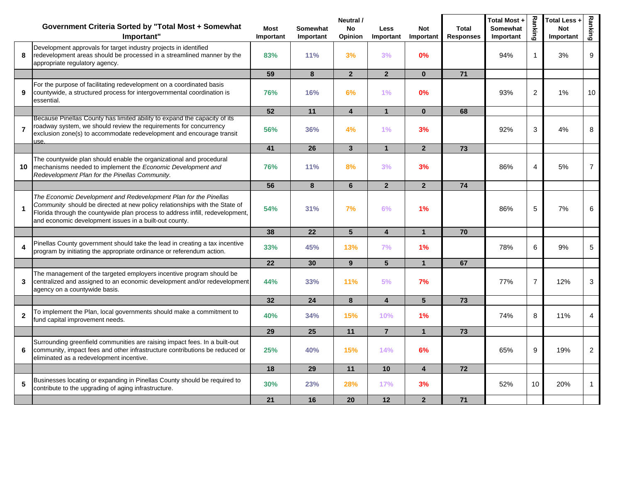|                  | Government Criteria Sorted by "Total Most + Somewhat<br>Important"                                                                                                                                                                                                                        | <b>Most</b><br>Important | <b>Somewhat</b><br>Important | Neutral /<br>No<br>Opinion | <b>Less</b><br>Important | <b>Not</b><br>Important | Total<br><b>Responses</b> | Total Most +<br><b>Somewhat</b><br>Important | <b>Ranking</b>   | Total Less +<br><b>Not</b><br>Important | Ranking                               |
|------------------|-------------------------------------------------------------------------------------------------------------------------------------------------------------------------------------------------------------------------------------------------------------------------------------------|--------------------------|------------------------------|----------------------------|--------------------------|-------------------------|---------------------------|----------------------------------------------|------------------|-----------------------------------------|---------------------------------------|
| 8                | Development approvals for target industry projects in identified<br>redevelopment areas should be processed in a streamlined manner by the<br>appropriate regulatory agency.                                                                                                              | 83%                      | 11%                          | 3%                         | 3%                       | 0%                      |                           | 94%                                          | $\overline{1}$   | 3%                                      | 9                                     |
|                  |                                                                                                                                                                                                                                                                                           | 59                       | 8                            | $\mathbf{2}$               | $\overline{2}$           | $\mathbf{0}$            | 71                        |                                              |                  |                                         |                                       |
| 9                | For the purpose of facilitating redevelopment on a coordinated basis<br>countywide, a structured process for intergovernmental coordination is<br>essential.                                                                                                                              | 76%                      | 16%                          | 6%                         | 1%                       | 0%                      |                           | 93%                                          | $\boldsymbol{2}$ | 1%                                      | 10                                    |
|                  |                                                                                                                                                                                                                                                                                           | 52                       | 11                           | 4                          | $\mathbf{1}$             | $\mathbf{0}$            | 68                        |                                              |                  |                                         |                                       |
| $\overline{7}$   | Because Pinellas County has limited ability to expand the capacity of its<br>roadway system, we should review the requirements for concurrency<br>exclusion zone(s) to accommodate redevelopment and encourage transit<br>use.                                                            | 56%                      | 36%                          | 4%                         | 1%                       | 3%                      |                           | 92%                                          | 3                | 4%                                      | 8                                     |
|                  |                                                                                                                                                                                                                                                                                           | 41                       | 26                           | $\mathbf{3}$               | $\mathbf{1}$             | $\overline{2}$          | 73                        |                                              |                  |                                         |                                       |
| 10               | The countywide plan should enable the organizational and procedural<br>mechanisms needed to implement the Economic Development and<br>Redevelopment Plan for the Pinellas Community.                                                                                                      | 76%                      | 11%                          | 8%                         | 3%                       | 3%                      |                           | 86%                                          | $\overline{4}$   | 5%                                      | $\overline{7}$                        |
|                  |                                                                                                                                                                                                                                                                                           | 56                       | 8                            | 6                          | $\overline{2}$           | 2 <sup>2</sup>          | 74                        |                                              |                  |                                         |                                       |
| $\mathbf{1}$     | The Economic Development and Redevelopment Plan for the Pinellas<br>Community should be directed at new policy relationships with the State of<br>Florida through the countywide plan process to address infill, redevelopment,<br>and economic development issues in a built-out county. | 54%                      | 31%                          | 7%                         | 6%                       | 1%                      |                           | 86%                                          | 5                | 7%                                      | 6                                     |
|                  |                                                                                                                                                                                                                                                                                           | 38                       | 22                           | 5                          | $\overline{\mathbf{4}}$  | $\mathbf{1}$            | 70                        |                                              |                  |                                         |                                       |
| $\boldsymbol{4}$ | Pinellas County government should take the lead in creating a tax incentive<br>program by initiating the appropriate ordinance or referendum action.                                                                                                                                      | 33%                      | 45%                          | 13%                        | 7%                       | $1\%$                   |                           | 78%                                          | 6                | 9%                                      | 5                                     |
|                  |                                                                                                                                                                                                                                                                                           | 22                       | 30                           | 9                          | 5 <sup>5</sup>           | $\mathbf{1}$            | 67                        |                                              |                  |                                         | 3<br>$\overline{4}$<br>$\overline{2}$ |
| 3                | The management of the targeted employers incentive program should be<br>centralized and assigned to an economic development and/or redevelopment<br>agency on a countywide basis.                                                                                                         | 44%                      | 33%                          | <b>11%</b>                 | 5%                       | 7%                      |                           | 77%                                          | $\overline{7}$   | 12%                                     |                                       |
|                  |                                                                                                                                                                                                                                                                                           | 32                       | 24                           | 8                          | $\overline{\mathbf{4}}$  | 5 <sup>5</sup>          | 73                        |                                              |                  |                                         |                                       |
| $\overline{2}$   | To implement the Plan, local governments should make a commitment to<br>fund capital improvement needs.                                                                                                                                                                                   | 40%                      | 34%                          | 15%                        | 10%                      | 1%                      |                           | 74%                                          | 8                | 11%                                     |                                       |
|                  |                                                                                                                                                                                                                                                                                           | 29                       | 25                           | 11                         | $\overline{7}$           | $\mathbf{1}$            | 73                        |                                              |                  |                                         |                                       |
| 6                | Surrounding greenfield communities are raising impact fees. In a built-out<br>community, impact fees and other infrastructure contributions be reduced or<br>eliminated as a redevelopment incentive.                                                                                     | 25%                      | 40%                          | 15%                        | 14%                      | 6%                      |                           | 65%                                          | $9\,$            | 19%                                     |                                       |
|                  |                                                                                                                                                                                                                                                                                           | 18                       | 29                           | 11                         | 10                       | $\overline{4}$          | 72                        |                                              |                  |                                         |                                       |
| 5                | Businesses locating or expanding in Pinellas County should be required to<br>contribute to the upgrading of aging infrastructure.                                                                                                                                                         | 30%                      | 23%                          | 28%                        | 17%                      | 3%                      |                           | 52%                                          | 10               | 20%                                     |                                       |
|                  |                                                                                                                                                                                                                                                                                           | 21                       | 16                           | 20                         | 12                       | 2 <sup>1</sup>          | 71                        |                                              |                  |                                         |                                       |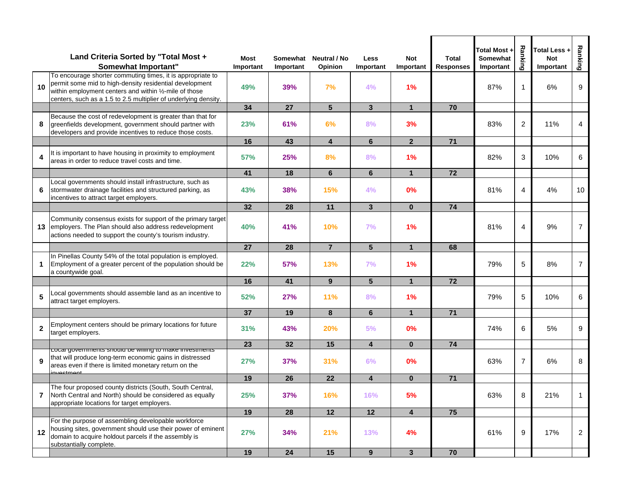|              | Land Criteria Sorted by "Total Most +<br><b>Somewhat Important"</b>                                                                                                                                                                                | Most<br>Important | Somewhat<br>Important | Neutral / No<br>Opinion | <b>Less</b><br>Important | <b>Not</b><br>Important | Total<br><b>Responses</b> | Total Most +<br>Somewhat<br>Important | Ranking        | Total Less +<br><b>Not</b><br>Important | Ranking        |
|--------------|----------------------------------------------------------------------------------------------------------------------------------------------------------------------------------------------------------------------------------------------------|-------------------|-----------------------|-------------------------|--------------------------|-------------------------|---------------------------|---------------------------------------|----------------|-----------------------------------------|----------------|
| 10           | To encourage shorter commuting times, it is appropriate to<br>permit some mid to high-density residential development<br>within employment centers and within 1/2-mile of those<br>centers, such as a 1.5 to 2.5 multiplier of underlying density. | 49%               | 39%                   | 7%                      | 4%                       | 1%                      |                           | 87%                                   | $\mathbf 1$    | 6%                                      | 9              |
|              |                                                                                                                                                                                                                                                    | 34                | 27                    | $5\phantom{.0}$         | $\overline{3}$           | $\mathbf{1}$            | 70                        |                                       |                |                                         |                |
| 8            | Because the cost of redevelopment is greater than that for<br>greenfields development, government should partner with<br>developers and provide incentives to reduce those costs.                                                                  | 23%               | 61%                   | 6%                      | 8%                       | 3%                      |                           | 83%                                   | 2              | 11%                                     | 4              |
|              |                                                                                                                                                                                                                                                    | 16                | 43                    | $\overline{\mathbf{4}}$ | 6                        | $\overline{2}$          | 71                        |                                       |                |                                         |                |
| 4            | It is important to have housing in proximity to employment<br>areas in order to reduce travel costs and time.                                                                                                                                      | 57%               | 25%                   | 8%                      | 8%                       | 1%                      |                           | 82%                                   | 3              | 10%                                     | 6              |
|              |                                                                                                                                                                                                                                                    | 41                | 18                    | 6                       | 6                        | $\mathbf{1}$            | 72                        |                                       |                |                                         |                |
| 6            | Local governments should install infrastructure, such as<br>stormwater drainage facilities and structured parking, as<br>incentives to attract target employers.                                                                                   | 43%               | <b>38%</b>            | 15%                     | 4%                       | 0%                      |                           | 81%                                   | 4              | 4%                                      | 10             |
|              |                                                                                                                                                                                                                                                    | 32                | 28                    | 11                      | $\mathbf{3}$             | $\mathbf{0}$            | 74                        |                                       |                |                                         |                |
| 13           | Community consensus exists for support of the primary target<br>employers. The Plan should also address redevelopment<br>actions needed to support the county's tourism industry.                                                                  | 40%               | 41%                   | 10%                     | 7%                       | 1%                      |                           | 81%                                   | 4              | 9%                                      | $\overline{7}$ |
|              |                                                                                                                                                                                                                                                    | 27                | 28                    | $\overline{7}$          | $5\phantom{1}$           | $\mathbf{1}$            | 68                        |                                       |                |                                         |                |
| 1            | In Pinellas County 54% of the total population is employed.<br>Employment of a greater percent of the population should be<br>a countywide goal.                                                                                                   | 22%               | 57%                   | 13%                     | 7%                       | 1%                      |                           | 79%                                   | 5              | 8%                                      | $\overline{7}$ |
|              |                                                                                                                                                                                                                                                    | 16                | 41                    | 9 <sup>°</sup>          | $5\phantom{1}$           | $\mathbf{1}$            | 72                        |                                       |                |                                         |                |
| 5            | Local governments should assemble land as an incentive to<br>attract target employers.                                                                                                                                                             | 52%               | 27%                   | 11%                     | 8%                       | 1%                      |                           | 79%                                   | 5              | 10%                                     | 6              |
|              |                                                                                                                                                                                                                                                    | 37                | 19                    | 8                       | 6                        | $\mathbf{1}$            | 71                        |                                       |                |                                         |                |
| $\mathbf{2}$ | Employment centers should be primary locations for future<br>target employers.                                                                                                                                                                     | 31%               | 43%                   | 20%                     | 5%                       | 0%                      |                           | 74%                                   | 6              | 5%                                      | 9              |
|              |                                                                                                                                                                                                                                                    | 23                | 32                    | 15                      | $\overline{\mathbf{4}}$  | $\mathbf{0}$            | 74                        |                                       |                |                                         |                |
| 9            | Local governments should be willing to make investments<br>that will produce long-term economic gains in distressed<br>areas even if there is limited monetary return on the<br>avectment                                                          | <b>27%</b>        | 37%                   | 31%                     | 6%                       | 0%                      |                           | 63%                                   | $\overline{7}$ | 6%                                      | 8              |
|              |                                                                                                                                                                                                                                                    | 19                | 26                    | 22                      | 4                        | $\bf{0}$                | 71                        |                                       |                |                                         |                |
|              | The four proposed county districts (South, South Central,<br>North Central and North) should be considered as equally<br>appropriate locations for target employers.                                                                               | 25%               | 37%                   | 16%                     | 16%                      | 5%                      |                           | 63%                                   | 8              | 21%                                     | $\mathbf{1}$   |
|              |                                                                                                                                                                                                                                                    | 19                | 28                    | 12                      | 12                       | $\overline{\mathbf{4}}$ | 75                        |                                       |                |                                         |                |
| 12           | For the purpose of assembling developable workforce<br>housing sites, government should use their power of eminent<br>domain to acquire holdout parcels if the assembly is<br>substantially complete.                                              | 27%               | 34%                   | 21%                     | 13%                      | 4%                      |                           | 61%                                   | 9              | 17%                                     | $\overline{2}$ |
|              |                                                                                                                                                                                                                                                    | 19                | 24                    | 15                      | $\boldsymbol{9}$         | $\mathbf{3}$            | 70                        |                                       |                |                                         |                |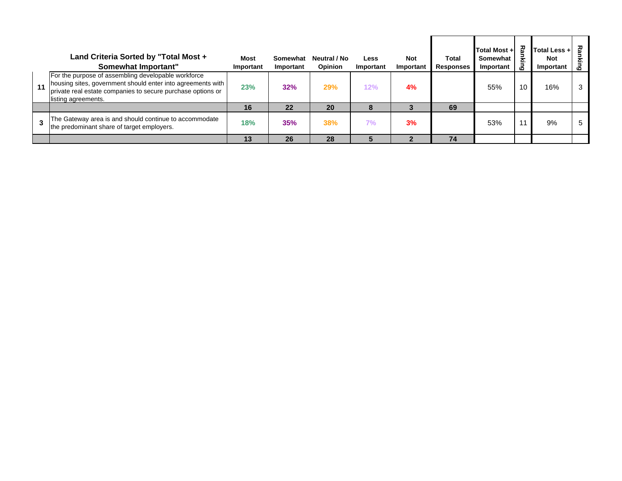|    | Land Criteria Sorted by "Total Most +<br><b>Somewhat Important"</b><br>For the purpose of assembling developable workforce                        | <b>Most</b><br>Important | Somewhat<br>Important | Neutral / No<br><b>Opinion</b> | Less<br>Important | <b>Not</b><br>Important | Total<br><b>Responses</b> | Total Most +<br>Somewhat<br>Important | --<br>ဖ | Total Less +<br><b>Not</b><br>Important | 줎<br>Σ.<br>G |
|----|---------------------------------------------------------------------------------------------------------------------------------------------------|--------------------------|-----------------------|--------------------------------|-------------------|-------------------------|---------------------------|---------------------------------------|---------|-----------------------------------------|--------------|
| 11 | housing sites, government should enter into agreements with<br>private real estate companies to secure purchase options or<br>listing agreements. | 23%                      | 32%                   | 29%                            | 12%               | 4%                      |                           | 55%                                   | 10      | 16%                                     | 3            |
|    |                                                                                                                                                   | 16                       | 22                    | 20                             |                   |                         | 69                        |                                       |         |                                         |              |
|    | The Gateway area is and should continue to accommodate<br>the predominant share of target employers.                                              | 18%                      | 35%                   | 38%                            | 7%                | 3%                      |                           | 53%                                   |         | 9%                                      | 5            |
|    |                                                                                                                                                   | 13                       | 26                    | 28                             |                   |                         | 74                        |                                       |         |                                         |              |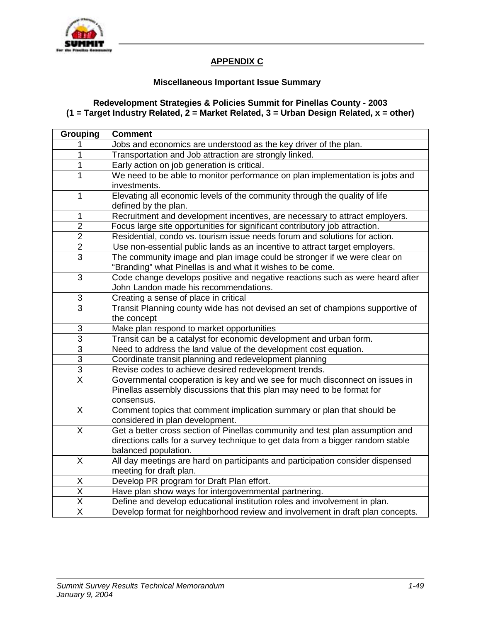

## **APPENDIX C**

### **Miscellaneous Important Issue Summary**

### **Redevelopment Strategies & Policies Summit for Pinellas County - 2003 (1 = Target Industry Related, 2 = Market Related, 3 = Urban Design Related, x = other)**

| <b>Grouping</b>           | <b>Comment</b>                                                                                                                                                                           |
|---------------------------|------------------------------------------------------------------------------------------------------------------------------------------------------------------------------------------|
|                           | Jobs and economics are understood as the key driver of the plan.                                                                                                                         |
| 1                         | Transportation and Job attraction are strongly linked.                                                                                                                                   |
| 1                         | Early action on job generation is critical.                                                                                                                                              |
| 1                         | We need to be able to monitor performance on plan implementation is jobs and                                                                                                             |
|                           | investments.                                                                                                                                                                             |
| 1                         | Elevating all economic levels of the community through the quality of life<br>defined by the plan.                                                                                       |
| 1                         | Recruitment and development incentives, are necessary to attract employers.                                                                                                              |
| $\overline{2}$            | Focus large site opportunities for significant contributory job attraction.                                                                                                              |
| $\overline{2}$            | Residential, condo vs. tourism issue needs forum and solutions for action.                                                                                                               |
| $\overline{2}$            | Use non-essential public lands as an incentive to attract target employers.                                                                                                              |
| $\overline{3}$            | The community image and plan image could be stronger if we were clear on<br>"Branding" what Pinellas is and what it wishes to be come.                                                   |
| 3                         | Code change develops positive and negative reactions such as were heard after<br>John Landon made his recommendations.                                                                   |
| $\ensuremath{\mathsf{3}}$ | Creating a sense of place in critical                                                                                                                                                    |
| $\overline{3}$            | Transit Planning county wide has not devised an set of champions supportive of<br>the concept                                                                                            |
| $\ensuremath{\mathsf{3}}$ | Make plan respond to market opportunities                                                                                                                                                |
| $\overline{3}$            | Transit can be a catalyst for economic development and urban form.                                                                                                                       |
| $\overline{3}$            | Need to address the land value of the development cost equation.                                                                                                                         |
| $\overline{3}$            | Coordinate transit planning and redevelopment planning                                                                                                                                   |
| $rac{3}{x}$               | Revise codes to achieve desired redevelopment trends.                                                                                                                                    |
|                           | Governmental cooperation is key and we see for much disconnect on issues in<br>Pinellas assembly discussions that this plan may need to be format for<br>consensus.                      |
| $\overline{X}$            | Comment topics that comment implication summary or plan that should be<br>considered in plan development.                                                                                |
| $\times$                  | Get a better cross section of Pinellas community and test plan assumption and<br>directions calls for a survey technique to get data from a bigger random stable<br>balanced population. |
| $\overline{\mathsf{X}}$   | All day meetings are hard on participants and participation consider dispensed<br>meeting for draft plan.                                                                                |
| X                         | Develop PR program for Draft Plan effort.                                                                                                                                                |
| $\overline{X}$            | Have plan show ways for intergovernmental partnering.                                                                                                                                    |
| $\overline{X}$            | Define and develop educational institution roles and involvement in plan.                                                                                                                |
| $\overline{\mathsf{x}}$   | Develop format for neighborhood review and involvement in draft plan concepts.                                                                                                           |